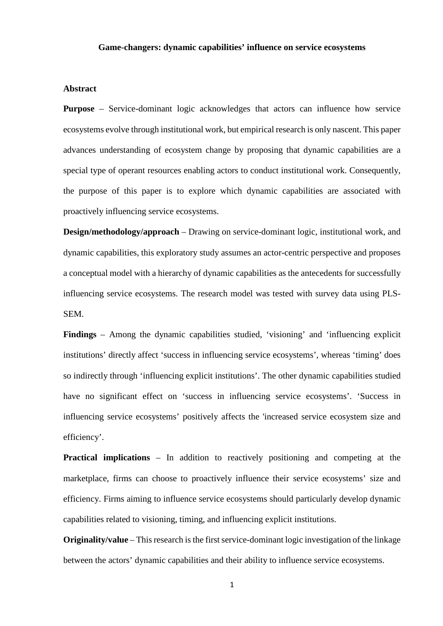### **Game-changers: dynamic capabilities' influence on service ecosystems**

## **Abstract**

**Purpose** – Service-dominant logic acknowledges that actors can influence how service ecosystems evolve through institutional work, but empirical research is only nascent. This paper advances understanding of ecosystem change by proposing that dynamic capabilities are a special type of operant resources enabling actors to conduct institutional work. Consequently, the purpose of this paper is to explore which dynamic capabilities are associated with proactively influencing service ecosystems.

**Design/methodology/approach** – Drawing on service-dominant logic, institutional work, and dynamic capabilities, this exploratory study assumes an actor-centric perspective and proposes a conceptual model with a hierarchy of dynamic capabilities as the antecedents for successfully influencing service ecosystems. The research model was tested with survey data using PLS-SEM.

**Findings** – Among the dynamic capabilities studied, 'visioning' and 'influencing explicit institutions' directly affect 'success in influencing service ecosystems', whereas 'timing' does so indirectly through 'influencing explicit institutions'. The other dynamic capabilities studied have no significant effect on 'success in influencing service ecosystems'. 'Success in influencing service ecosystems' positively affects the 'increased service ecosystem size and efficiency'.

**Practical implications** – In addition to reactively positioning and competing at the marketplace, firms can choose to proactively influence their service ecosystems' size and efficiency. Firms aiming to influence service ecosystems should particularly develop dynamic capabilities related to visioning, timing, and influencing explicit institutions.

**Originality/value** – This research is the first service-dominant logic investigation of the linkage between the actors' dynamic capabilities and their ability to influence service ecosystems.

1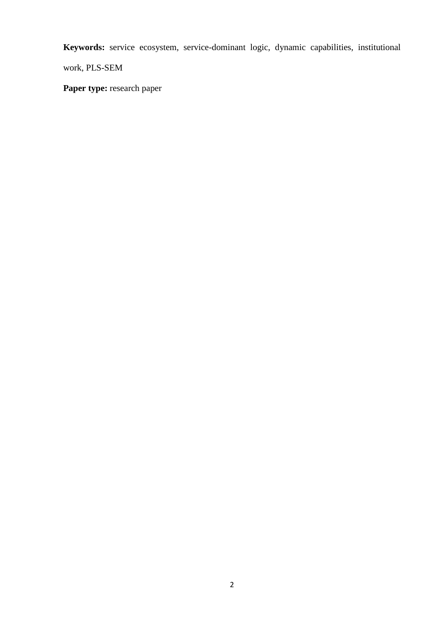**Keywords:** service ecosystem, service-dominant logic, dynamic capabilities, institutional

work, PLS-SEM

Paper type: research paper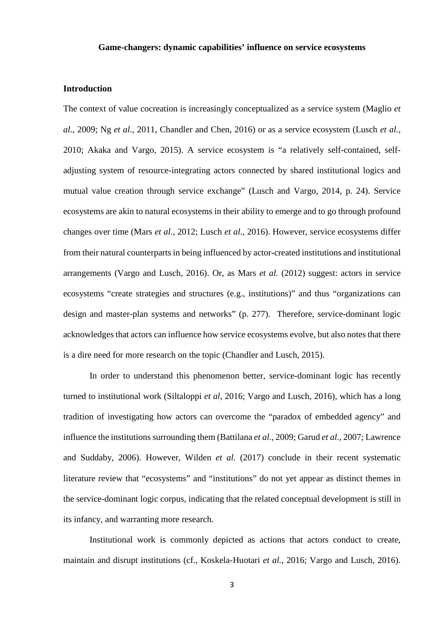#### **Game-changers: dynamic capabilities' influence on service ecosystems**

#### **Introduction**

The context of value cocreation is increasingly conceptualized as a service system (Maglio *et al.*, 2009; Ng *et al.*, 2011, Chandler and Chen, 2016) or as a service ecosystem (Lusch *et al.*, 2010; Akaka and Vargo, 2015). A service ecosystem is "a relatively self-contained, selfadjusting system of resource-integrating actors connected by shared institutional logics and mutual value creation through service exchange" (Lusch and Vargo, 2014, p. 24). Service ecosystems are akin to natural ecosystems in their ability to emerge and to go through profound changes over time (Mars *et al.*, 2012; Lusch *et al.*, 2016). However, service ecosystems differ from their natural counterparts in being influenced by actor-created institutions and institutional arrangements (Vargo and Lusch, 2016). Or, as Mars *et al.* (2012) suggest: actors in service ecosystems "create strategies and structures (e.g., institutions)" and thus "organizations can design and master-plan systems and networks" (p. 277). Therefore, service-dominant logic acknowledges that actors can influence how service ecosystems evolve, but also notes that there is a dire need for more research on the topic (Chandler and Lusch, 2015).

In order to understand this phenomenon better, service-dominant logic has recently turned to institutional work (Siltaloppi *et al,* 2016; Vargo and Lusch, 2016), which has a long tradition of investigating how actors can overcome the "paradox of embedded agency" and influence the institutions surrounding them (Battilana *et al.*, 2009; Garud *et al.*, 2007; Lawrence and Suddaby, 2006). However, Wilden *et al.* (2017) conclude in their recent systematic literature review that "ecosystems" and "institutions" do not yet appear as distinct themes in the service-dominant logic corpus, indicating that the related conceptual development is still in its infancy, and warranting more research.

Institutional work is commonly depicted as actions that actors conduct to create, maintain and disrupt institutions (cf., Koskela-Huotari *et al.*, 2016; Vargo and Lusch, 2016).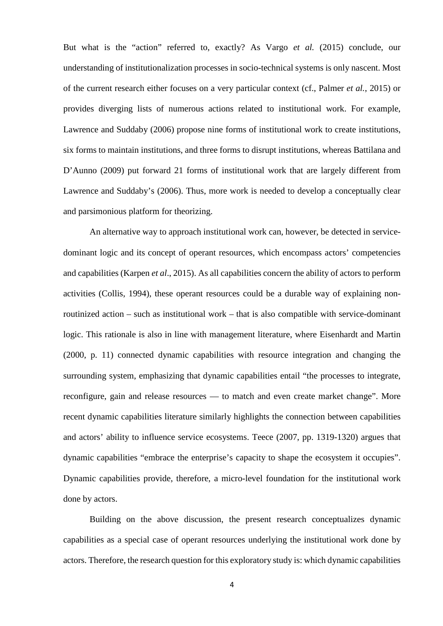But what is the "action" referred to, exactly? As Vargo *et al.* (2015) conclude, our understanding of institutionalization processes in socio-technical systems is only nascent. Most of the current research either focuses on a very particular context (cf., Palmer *et al.*, 2015) or provides diverging lists of numerous actions related to institutional work. For example, Lawrence and Suddaby (2006) propose nine forms of institutional work to create institutions, six forms to maintain institutions, and three forms to disrupt institutions, whereas Battilana and D'Aunno (2009) put forward 21 forms of institutional work that are largely different from Lawrence and Suddaby's (2006). Thus, more work is needed to develop a conceptually clear and parsimonious platform for theorizing.

An alternative way to approach institutional work can, however, be detected in servicedominant logic and its concept of operant resources, which encompass actors' competencies and capabilities (Karpen *et al*., 2015). As all capabilities concern the ability of actors to perform activities (Collis, 1994), these operant resources could be a durable way of explaining nonroutinized action – such as institutional work – that is also compatible with service-dominant logic. This rationale is also in line with management literature, where Eisenhardt and Martin (2000, p. 11) connected dynamic capabilities with resource integration and changing the surrounding system, emphasizing that dynamic capabilities entail "the processes to integrate, reconfigure, gain and release resources — to match and even create market change". More recent dynamic capabilities literature similarly highlights the connection between capabilities and actors' ability to influence service ecosystems. Teece (2007, pp. 1319-1320) argues that dynamic capabilities "embrace the enterprise's capacity to shape the ecosystem it occupies". Dynamic capabilities provide, therefore, a micro-level foundation for the institutional work done by actors.

Building on the above discussion, the present research conceptualizes dynamic capabilities as a special case of operant resources underlying the institutional work done by actors. Therefore, the research question for this exploratory study is: which dynamic capabilities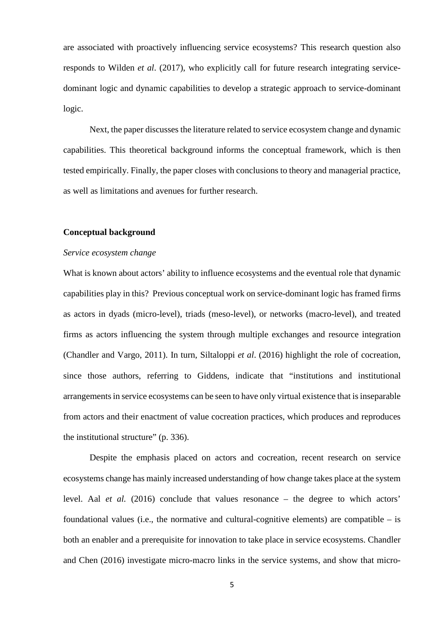are associated with proactively influencing service ecosystems? This research question also responds to Wilden *et al*. (2017), who explicitly call for future research integrating servicedominant logic and dynamic capabilities to develop a strategic approach to service-dominant logic.

Next, the paper discusses the literature related to service ecosystem change and dynamic capabilities. This theoretical background informs the conceptual framework, which is then tested empirically. Finally, the paper closes with conclusions to theory and managerial practice, as well as limitations and avenues for further research.

## **Conceptual background**

#### *Service ecosystem change*

What is known about actors' ability to influence ecosystems and the eventual role that dynamic capabilities play in this? Previous conceptual work on service-dominant logic has framed firms as actors in dyads (micro-level), triads (meso-level), or networks (macro-level), and treated firms as actors influencing the system through multiple exchanges and resource integration (Chandler and Vargo, 2011). In turn, Siltaloppi *et al*. (2016) highlight the role of cocreation, since those authors, referring to Giddens, indicate that "institutions and institutional arrangements in service ecosystems can be seen to have only virtual existence that is inseparable from actors and their enactment of value cocreation practices, which produces and reproduces the institutional structure" (p. 336).

Despite the emphasis placed on actors and cocreation, recent research on service ecosystems change has mainly increased understanding of how change takes place at the system level. Aal *et al.* (2016) conclude that values resonance – the degree to which actors' foundational values (i.e., the normative and cultural-cognitive elements) are compatible – is both an enabler and a prerequisite for innovation to take place in service ecosystems. Chandler and Chen (2016) investigate micro-macro links in the service systems, and show that micro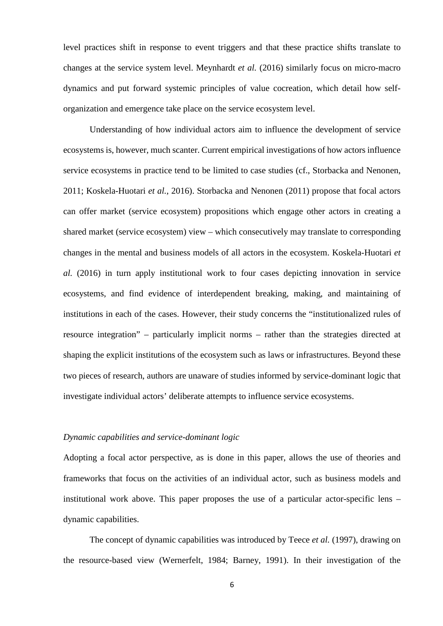level practices shift in response to event triggers and that these practice shifts translate to changes at the service system level. Meynhardt *et al.* (2016) similarly focus on micro-macro dynamics and put forward systemic principles of value cocreation, which detail how selforganization and emergence take place on the service ecosystem level.

Understanding of how individual actors aim to influence the development of service ecosystems is, however, much scanter. Current empirical investigations of how actors influence service ecosystems in practice tend to be limited to case studies (cf., Storbacka and Nenonen, 2011; Koskela-Huotari *et al.*, 2016). Storbacka and Nenonen (2011) propose that focal actors can offer market (service ecosystem) propositions which engage other actors in creating a shared market (service ecosystem) view – which consecutively may translate to corresponding changes in the mental and business models of all actors in the ecosystem. Koskela-Huotari *et al.* (2016) in turn apply institutional work to four cases depicting innovation in service ecosystems, and find evidence of interdependent breaking, making, and maintaining of institutions in each of the cases. However, their study concerns the "institutionalized rules of resource integration" – particularly implicit norms – rather than the strategies directed at shaping the explicit institutions of the ecosystem such as laws or infrastructures. Beyond these two pieces of research, authors are unaware of studies informed by service-dominant logic that investigate individual actors' deliberate attempts to influence service ecosystems.

## *Dynamic capabilities and service-dominant logic*

Adopting a focal actor perspective, as is done in this paper, allows the use of theories and frameworks that focus on the activities of an individual actor, such as business models and institutional work above. This paper proposes the use of a particular actor-specific lens – dynamic capabilities.

The concept of dynamic capabilities was introduced by Teece *et al.* (1997), drawing on the resource-based view (Wernerfelt, 1984; Barney, 1991). In their investigation of the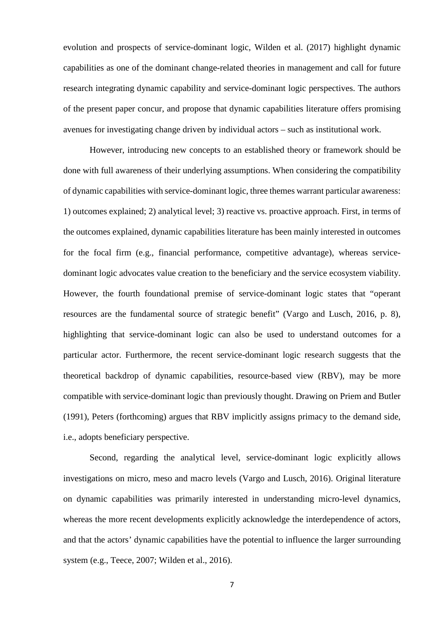evolution and prospects of service-dominant logic, Wilden et al. (2017) highlight dynamic capabilities as one of the dominant change-related theories in management and call for future research integrating dynamic capability and service-dominant logic perspectives. The authors of the present paper concur, and propose that dynamic capabilities literature offers promising avenues for investigating change driven by individual actors – such as institutional work.

However, introducing new concepts to an established theory or framework should be done with full awareness of their underlying assumptions. When considering the compatibility of dynamic capabilities with service-dominant logic, three themes warrant particular awareness: 1) outcomes explained; 2) analytical level; 3) reactive vs. proactive approach. First, in terms of the outcomes explained, dynamic capabilities literature has been mainly interested in outcomes for the focal firm (e.g., financial performance, competitive advantage), whereas servicedominant logic advocates value creation to the beneficiary and the service ecosystem viability. However, the fourth foundational premise of service-dominant logic states that "operant resources are the fundamental source of strategic benefit" (Vargo and Lusch, 2016, p. 8), highlighting that service-dominant logic can also be used to understand outcomes for a particular actor. Furthermore, the recent service-dominant logic research suggests that the theoretical backdrop of dynamic capabilities, resource-based view (RBV), may be more compatible with service-dominant logic than previously thought. Drawing on Priem and Butler (1991), Peters (forthcoming) argues that RBV implicitly assigns primacy to the demand side, i.e., adopts beneficiary perspective.

Second, regarding the analytical level, service-dominant logic explicitly allows investigations on micro, meso and macro levels (Vargo and Lusch, 2016). Original literature on dynamic capabilities was primarily interested in understanding micro-level dynamics, whereas the more recent developments explicitly acknowledge the interdependence of actors, and that the actors' dynamic capabilities have the potential to influence the larger surrounding system (e.g., Teece, 2007; Wilden et al., 2016).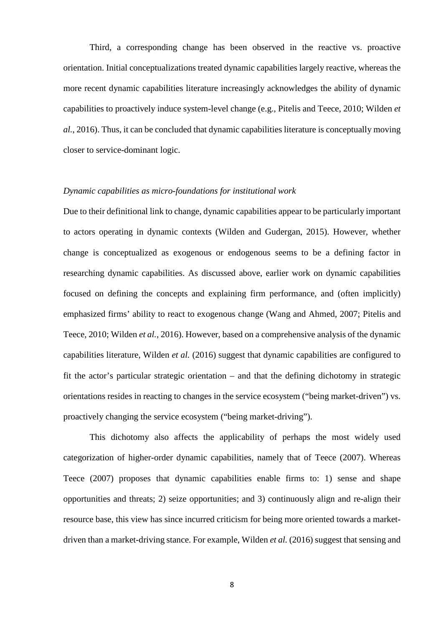Third, a corresponding change has been observed in the reactive vs. proactive orientation. Initial conceptualizations treated dynamic capabilities largely reactive, whereas the more recent dynamic capabilities literature increasingly acknowledges the ability of dynamic capabilities to proactively induce system-level change (e.g., Pitelis and Teece, 2010; Wilden *et al.*, 2016). Thus, it can be concluded that dynamic capabilities literature is conceptually moving closer to service-dominant logic.

# *Dynamic capabilities as micro-foundations for institutional work*

Due to their definitional link to change, dynamic capabilities appear to be particularly important to actors operating in dynamic contexts (Wilden and Gudergan, 2015). However, whether change is conceptualized as exogenous or endogenous seems to be a defining factor in researching dynamic capabilities. As discussed above, earlier work on dynamic capabilities focused on defining the concepts and explaining firm performance, and (often implicitly) emphasized firms' ability to react to exogenous change (Wang and Ahmed, 2007; Pitelis and Teece, 2010; Wilden *et al.*, 2016). However, based on a comprehensive analysis of the dynamic capabilities literature, Wilden *et al.* (2016) suggest that dynamic capabilities are configured to fit the actor's particular strategic orientation – and that the defining dichotomy in strategic orientations resides in reacting to changes in the service ecosystem ("being market-driven") vs. proactively changing the service ecosystem ("being market-driving").

This dichotomy also affects the applicability of perhaps the most widely used categorization of higher-order dynamic capabilities, namely that of Teece (2007). Whereas Teece (2007) proposes that dynamic capabilities enable firms to: 1) sense and shape opportunities and threats; 2) seize opportunities; and 3) continuously align and re-align their resource base, this view has since incurred criticism for being more oriented towards a marketdriven than a market-driving stance. For example, Wilden *et al.* (2016) suggest that sensing and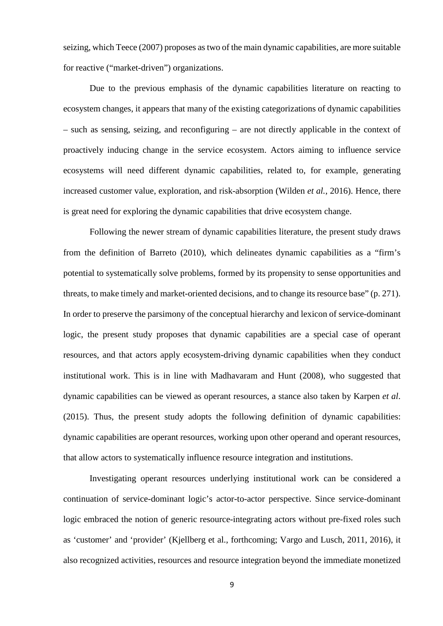seizing, which Teece (2007) proposes as two of the main dynamic capabilities, are more suitable for reactive ("market-driven") organizations.

Due to the previous emphasis of the dynamic capabilities literature on reacting to ecosystem changes, it appears that many of the existing categorizations of dynamic capabilities – such as sensing, seizing, and reconfiguring – are not directly applicable in the context of proactively inducing change in the service ecosystem. Actors aiming to influence service ecosystems will need different dynamic capabilities, related to, for example, generating increased customer value, exploration, and risk-absorption (Wilden *et al.*, 2016). Hence, there is great need for exploring the dynamic capabilities that drive ecosystem change.

Following the newer stream of dynamic capabilities literature, the present study draws from the definition of Barreto (2010), which delineates dynamic capabilities as a "firm's potential to systematically solve problems, formed by its propensity to sense opportunities and threats, to make timely and market-oriented decisions, and to change its resource base" (p. 271). In order to preserve the parsimony of the conceptual hierarchy and lexicon of service-dominant logic, the present study proposes that dynamic capabilities are a special case of operant resources, and that actors apply ecosystem-driving dynamic capabilities when they conduct institutional work. This is in line with Madhavaram and Hunt (2008), who suggested that dynamic capabilities can be viewed as operant resources, a stance also taken by Karpen *et al*. (2015). Thus, the present study adopts the following definition of dynamic capabilities: dynamic capabilities are operant resources, working upon other operand and operant resources, that allow actors to systematically influence resource integration and institutions.

Investigating operant resources underlying institutional work can be considered a continuation of service-dominant logic's actor-to-actor perspective. Since service-dominant logic embraced the notion of generic resource-integrating actors without pre-fixed roles such as 'customer' and 'provider' (Kjellberg et al., forthcoming; Vargo and Lusch, 2011, 2016), it also recognized activities, resources and resource integration beyond the immediate monetized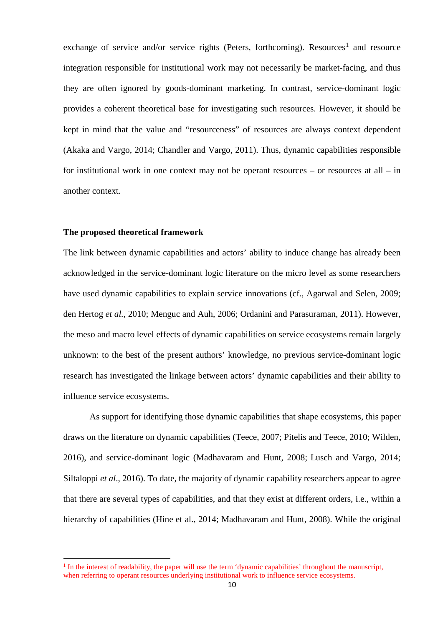exchange of service and/or service rights (Peters, forthcoming). Resources<sup>[1](#page-9-0)</sup> and resource integration responsible for institutional work may not necessarily be market-facing, and thus they are often ignored by goods-dominant marketing. In contrast, service-dominant logic provides a coherent theoretical base for investigating such resources. However, it should be kept in mind that the value and "resourceness" of resources are always context dependent (Akaka and Vargo, 2014; Chandler and Vargo, 2011). Thus, dynamic capabilities responsible for institutional work in one context may not be operant resources – or resources at all – in another context.

#### **The proposed theoretical framework**

 $\overline{a}$ 

The link between dynamic capabilities and actors' ability to induce change has already been acknowledged in the service-dominant logic literature on the micro level as some researchers have used dynamic capabilities to explain service innovations (cf., Agarwal and Selen, 2009; den Hertog *et al.*, 2010; Menguc and Auh, 2006; Ordanini and Parasuraman, 2011). However, the meso and macro level effects of dynamic capabilities on service ecosystems remain largely unknown: to the best of the present authors' knowledge, no previous service-dominant logic research has investigated the linkage between actors' dynamic capabilities and their ability to influence service ecosystems.

As support for identifying those dynamic capabilities that shape ecosystems, this paper draws on the literature on dynamic capabilities (Teece, 2007; Pitelis and Teece, 2010; Wilden, 2016), and service-dominant logic (Madhavaram and Hunt, 2008; Lusch and Vargo, 2014; Siltaloppi *et al*., 2016). To date, the majority of dynamic capability researchers appear to agree that there are several types of capabilities, and that they exist at different orders, i.e., within a hierarchy of capabilities (Hine et al., 2014; Madhavaram and Hunt, 2008). While the original

<span id="page-9-0"></span> $<sup>1</sup>$  In the interest of readability, the paper will use the term 'dynamic capabilities' throughout the manuscript,</sup> when referring to operant resources underlying institutional work to influence service ecosystems.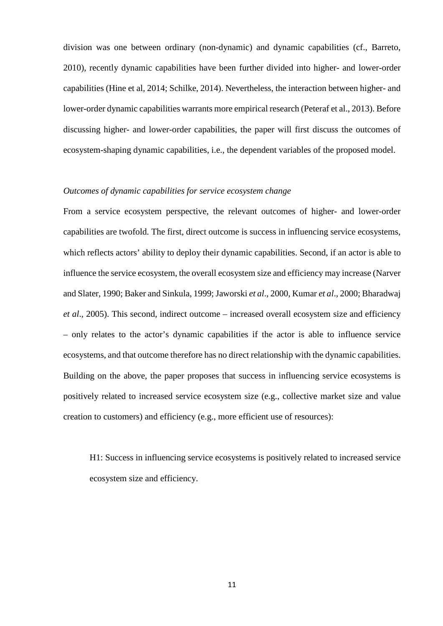division was one between ordinary (non-dynamic) and dynamic capabilities (cf., Barreto, 2010), recently dynamic capabilities have been further divided into higher- and lower-order capabilities (Hine et al, 2014; Schilke, 2014). Nevertheless, the interaction between higher- and lower-order dynamic capabilities warrants more empirical research (Peteraf et al., 2013). Before discussing higher- and lower-order capabilities, the paper will first discuss the outcomes of ecosystem-shaping dynamic capabilities, i.e., the dependent variables of the proposed model.

# *Outcomes of dynamic capabilities for service ecosystem change*

From a service ecosystem perspective, the relevant outcomes of higher- and lower-order capabilities are twofold. The first, direct outcome is success in influencing service ecosystems, which reflects actors' ability to deploy their dynamic capabilities. Second, if an actor is able to influence the service ecosystem, the overall ecosystem size and efficiency may increase (Narver and Slater, 1990; Baker and Sinkula, 1999; Jaworski *et al*., 2000, Kumar *et al*., 2000; Bharadwaj *et al*., 2005). This second, indirect outcome – increased overall ecosystem size and efficiency – only relates to the actor's dynamic capabilities if the actor is able to influence service ecosystems, and that outcome therefore has no direct relationship with the dynamic capabilities. Building on the above, the paper proposes that success in influencing service ecosystems is positively related to increased service ecosystem size (e.g., collective market size and value creation to customers) and efficiency (e.g., more efficient use of resources):

H1: Success in influencing service ecosystems is positively related to increased service ecosystem size and efficiency.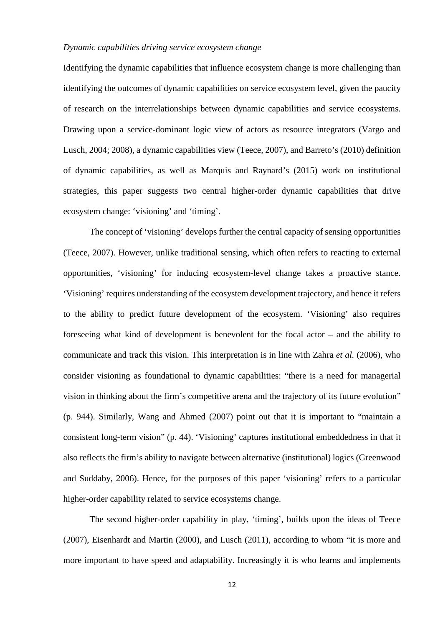#### *Dynamic capabilities driving service ecosystem change*

Identifying the dynamic capabilities that influence ecosystem change is more challenging than identifying the outcomes of dynamic capabilities on service ecosystem level, given the paucity of research on the interrelationships between dynamic capabilities and service ecosystems. Drawing upon a service-dominant logic view of actors as resource integrators (Vargo and Lusch, 2004; 2008), a dynamic capabilities view (Teece, 2007), and Barreto's (2010) definition of dynamic capabilities, as well as Marquis and Raynard's (2015) work on institutional strategies, this paper suggests two central higher-order dynamic capabilities that drive ecosystem change: 'visioning' and 'timing'.

The concept of 'visioning' develops further the central capacity of sensing opportunities (Teece, 2007). However, unlike traditional sensing, which often refers to reacting to external opportunities, 'visioning' for inducing ecosystem-level change takes a proactive stance. 'Visioning' requires understanding of the ecosystem development trajectory, and hence it refers to the ability to predict future development of the ecosystem. 'Visioning' also requires foreseeing what kind of development is benevolent for the focal actor – and the ability to communicate and track this vision. This interpretation is in line with Zahra *et al.* (2006), who consider visioning as foundational to dynamic capabilities: "there is a need for managerial vision in thinking about the firm's competitive arena and the trajectory of its future evolution" (p. 944). Similarly, Wang and Ahmed (2007) point out that it is important to "maintain a consistent long-term vision" (p. 44). 'Visioning' captures institutional embeddedness in that it also reflects the firm's ability to navigate between alternative (institutional) logics (Greenwood and Suddaby, 2006). Hence, for the purposes of this paper 'visioning' refers to a particular higher-order capability related to service ecosystems change.

The second higher-order capability in play, 'timing', builds upon the ideas of Teece (2007), Eisenhardt and Martin (2000), and Lusch (2011), according to whom "it is more and more important to have speed and adaptability. Increasingly it is who learns and implements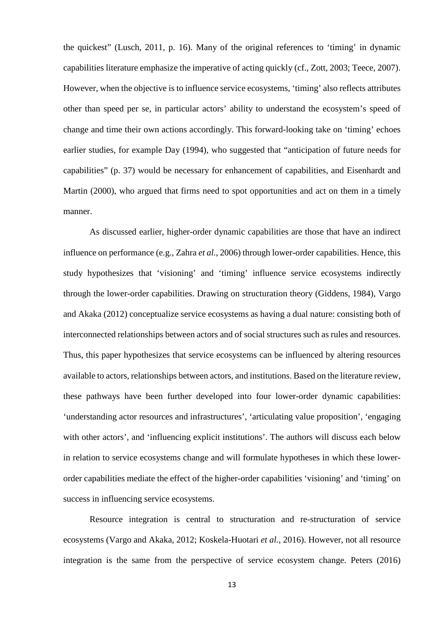the quickest" (Lusch, 2011, p. 16). Many of the original references to 'timing' in dynamic capabilities literature emphasize the imperative of acting quickly (cf., Zott, 2003; Teece, 2007). However, when the objective is to influence service ecosystems, 'timing' also reflects attributes other than speed per se, in particular actors' ability to understand the ecosystem's speed of change and time their own actions accordingly. This forward-looking take on 'timing' echoes earlier studies, for example Day (1994), who suggested that "anticipation of future needs for capabilities" (p. 37) would be necessary for enhancement of capabilities, and Eisenhardt and Martin (2000), who argued that firms need to spot opportunities and act on them in a timely manner.

As discussed earlier, higher-order dynamic capabilities are those that have an indirect influence on performance (e.g., Zahra *et al.*, 2006) through lower-order capabilities. Hence, this study hypothesizes that 'visioning' and 'timing' influence service ecosystems indirectly through the lower-order capabilities. Drawing on structuration theory (Giddens, 1984), Vargo and Akaka (2012) conceptualize service ecosystems as having a dual nature: consisting both of interconnected relationships between actors and of social structures such as rules and resources. Thus, this paper hypothesizes that service ecosystems can be influenced by altering resources available to actors, relationships between actors, and institutions. Based on the literature review, these pathways have been further developed into four lower-order dynamic capabilities: 'understanding actor resources and infrastructures', 'articulating value proposition', 'engaging with other actors', and 'influencing explicit institutions'. The authors will discuss each below in relation to service ecosystems change and will formulate hypotheses in which these lowerorder capabilities mediate the effect of the higher-order capabilities 'visioning' and 'timing' on success in influencing service ecosystems.

Resource integration is central to structuration and re-structuration of service ecosystems (Vargo and Akaka, 2012; Koskela-Huotari *et al.*, 2016). However, not all resource integration is the same from the perspective of service ecosystem change. Peters (2016)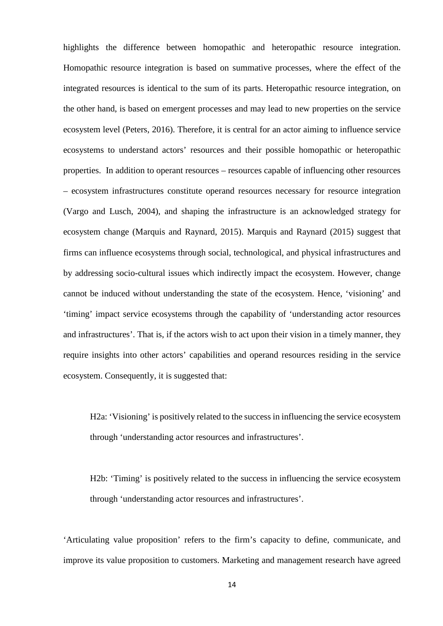highlights the difference between homopathic and heteropathic resource integration. Homopathic resource integration is based on summative processes, where the effect of the integrated resources is identical to the sum of its parts. Heteropathic resource integration, on the other hand, is based on emergent processes and may lead to new properties on the service ecosystem level (Peters, 2016). Therefore, it is central for an actor aiming to influence service ecosystems to understand actors' resources and their possible homopathic or heteropathic properties. In addition to operant resources – resources capable of influencing other resources – ecosystem infrastructures constitute operand resources necessary for resource integration (Vargo and Lusch, 2004), and shaping the infrastructure is an acknowledged strategy for ecosystem change (Marquis and Raynard, 2015). Marquis and Raynard (2015) suggest that firms can influence ecosystems through social, technological, and physical infrastructures and by addressing socio-cultural issues which indirectly impact the ecosystem. However, change cannot be induced without understanding the state of the ecosystem. Hence, 'visioning' and 'timing' impact service ecosystems through the capability of 'understanding actor resources and infrastructures'. That is, if the actors wish to act upon their vision in a timely manner, they require insights into other actors' capabilities and operand resources residing in the service ecosystem. Consequently, it is suggested that:

H2a: 'Visioning' is positively related to the success in influencing the service ecosystem through 'understanding actor resources and infrastructures'.

H2b: 'Timing' is positively related to the success in influencing the service ecosystem through 'understanding actor resources and infrastructures'.

'Articulating value proposition' refers to the firm's capacity to define, communicate, and improve its value proposition to customers. Marketing and management research have agreed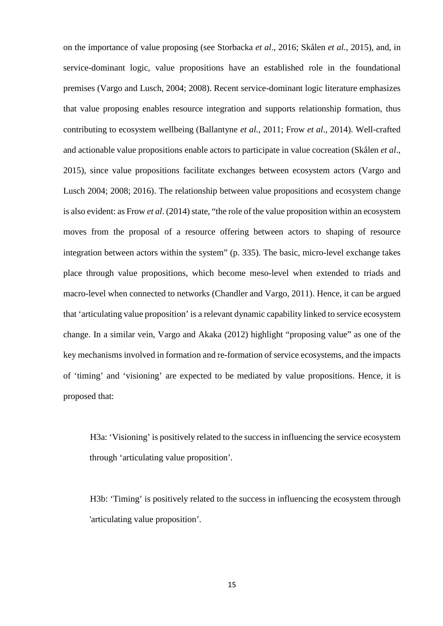on the importance of value proposing (see Storbacka *et al*., 2016; Skålen *et al.*, 2015), and, in service-dominant logic, value propositions have an established role in the foundational premises (Vargo and Lusch, 2004; 2008). Recent service-dominant logic literature emphasizes that value proposing enables resource integration and supports relationship formation, thus contributing to ecosystem wellbeing (Ballantyne *et al.*, 2011; Frow *et al*., 2014). Well-crafted and actionable value propositions enable actors to participate in value cocreation (Skålen *et al*., 2015), since value propositions facilitate exchanges between ecosystem actors (Vargo and Lusch 2004; 2008; 2016). The relationship between value propositions and ecosystem change is also evident: as Frow *et al.* (2014) state, "the role of the value proposition within an ecosystem moves from the proposal of a resource offering between actors to shaping of resource integration between actors within the system" (p. 335). The basic, micro-level exchange takes place through value propositions, which become meso-level when extended to triads and macro-level when connected to networks (Chandler and Vargo, 2011). Hence, it can be argued that 'articulating value proposition' is a relevant dynamic capability linked to service ecosystem change. In a similar vein, Vargo and Akaka (2012) highlight "proposing value" as one of the key mechanisms involved in formation and re-formation of service ecosystems, and the impacts of 'timing' and 'visioning' are expected to be mediated by value propositions. Hence, it is proposed that:

H3a: 'Visioning' is positively related to the success in influencing the service ecosystem through 'articulating value proposition'*.*

H3b: 'Timing' is positively related to the success in influencing the ecosystem through 'articulating value proposition'*.*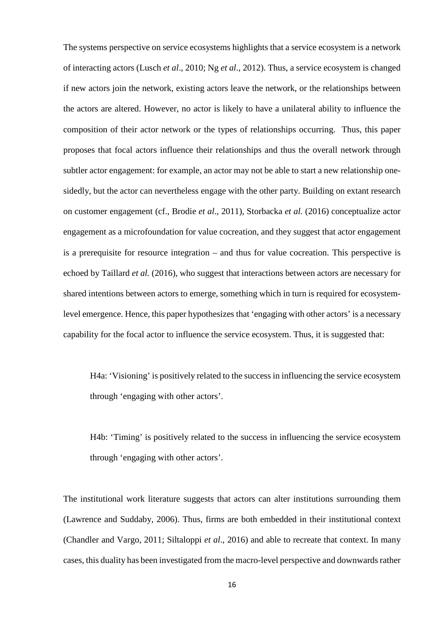The systems perspective on service ecosystems highlights that a service ecosystem is a network of interacting actors (Lusch *et al*., 2010; Ng *et al*., 2012). Thus, a service ecosystem is changed if new actors join the network, existing actors leave the network, or the relationships between the actors are altered. However, no actor is likely to have a unilateral ability to influence the composition of their actor network or the types of relationships occurring. Thus, this paper proposes that focal actors influence their relationships and thus the overall network through subtler actor engagement: for example, an actor may not be able to start a new relationship onesidedly, but the actor can nevertheless engage with the other party. Building on extant research on customer engagement (cf., Brodie *et al*., 2011), Storbacka *et al.* (2016) conceptualize actor engagement as a microfoundation for value cocreation, and they suggest that actor engagement is a prerequisite for resource integration – and thus for value cocreation. This perspective is echoed by Taillard *et al.* (2016), who suggest that interactions between actors are necessary for shared intentions between actors to emerge, something which in turn is required for ecosystemlevel emergence. Hence, this paper hypothesizes that 'engaging with other actors' is a necessary capability for the focal actor to influence the service ecosystem. Thus, it is suggested that:

H4a: 'Visioning' is positively related to the success in influencing the service ecosystem through 'engaging with other actors'.

H4b: 'Timing' is positively related to the success in influencing the service ecosystem through 'engaging with other actors'.

The institutional work literature suggests that actors can alter institutions surrounding them (Lawrence and Suddaby, 2006). Thus, firms are both embedded in their institutional context (Chandler and Vargo, 2011; Siltaloppi *et al*., 2016) and able to recreate that context. In many cases, this duality has been investigated from the macro-level perspective and downwards rather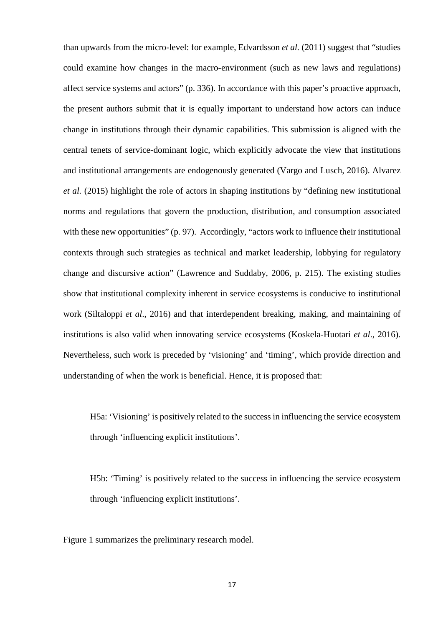than upwards from the micro-level: for example, Edvardsson *et al.* (2011) suggest that "studies could examine how changes in the macro-environment (such as new laws and regulations) affect service systems and actors" (p. 336). In accordance with this paper's proactive approach, the present authors submit that it is equally important to understand how actors can induce change in institutions through their dynamic capabilities. This submission is aligned with the central tenets of service-dominant logic, which explicitly advocate the view that institutions and institutional arrangements are endogenously generated (Vargo and Lusch, 2016). Alvarez *et al.* (2015) highlight the role of actors in shaping institutions by "defining new institutional norms and regulations that govern the production, distribution, and consumption associated with these new opportunities" (p. 97). Accordingly, "actors work to influence their institutional contexts through such strategies as technical and market leadership, lobbying for regulatory change and discursive action" (Lawrence and Suddaby, 2006, p. 215). The existing studies show that institutional complexity inherent in service ecosystems is conducive to institutional work (Siltaloppi *et al*., 2016) and that interdependent breaking, making, and maintaining of institutions is also valid when innovating service ecosystems (Koskela-Huotari *et al*., 2016). Nevertheless, such work is preceded by 'visioning' and 'timing', which provide direction and understanding of when the work is beneficial. Hence, it is proposed that:

H5a: 'Visioning' is positively related to the success in influencing the service ecosystem through 'influencing explicit institutions'.

H5b: 'Timing' is positively related to the success in influencing the service ecosystem through 'influencing explicit institutions'.

Figure 1 summarizes the preliminary research model.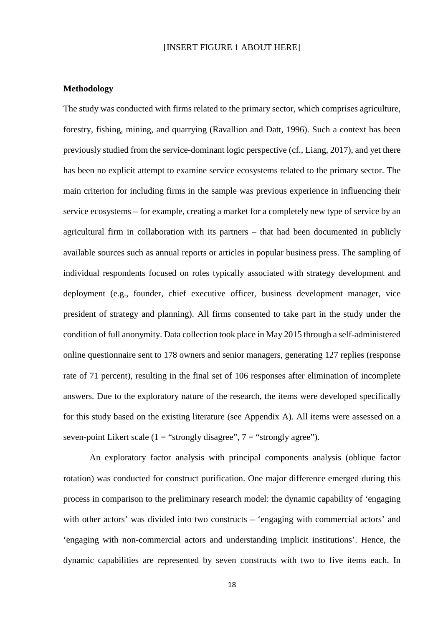## [INSERT FIGURE 1 ABOUT HERE]

## **Methodology**

The study was conducted with firms related to the primary sector, which comprises agriculture, forestry, fishing, mining, and quarrying (Ravallion and Datt, 1996). Such a context has been previously studied from the service-dominant logic perspective (cf., Liang, 2017), and yet there has been no explicit attempt to examine service ecosystems related to the primary sector. The main criterion for including firms in the sample was previous experience in influencing their service ecosystems – for example, creating a market for a completely new type of service by an agricultural firm in collaboration with its partners – that had been documented in publicly available sources such as annual reports or articles in popular business press. The sampling of individual respondents focused on roles typically associated with strategy development and deployment (e.g., founder, chief executive officer, business development manager, vice president of strategy and planning). All firms consented to take part in the study under the condition of full anonymity. Data collection took place in May 2015 through a self-administered online questionnaire sent to 178 owners and senior managers, generating 127 replies (response rate of 71 percent), resulting in the final set of 106 responses after elimination of incomplete answers. Due to the exploratory nature of the research, the items were developed specifically for this study based on the existing literature (see Appendix A). All items were assessed on a seven-point Likert scale (1 = "strongly disagree",  $7 =$  "strongly agree").

An exploratory factor analysis with principal components analysis (oblique factor rotation) was conducted for construct purification. One major difference emerged during this process in comparison to the preliminary research model: the dynamic capability of 'engaging with other actors' was divided into two constructs – 'engaging with commercial actors' and 'engaging with non-commercial actors and understanding implicit institutions'. Hence, the dynamic capabilities are represented by seven constructs with two to five items each. In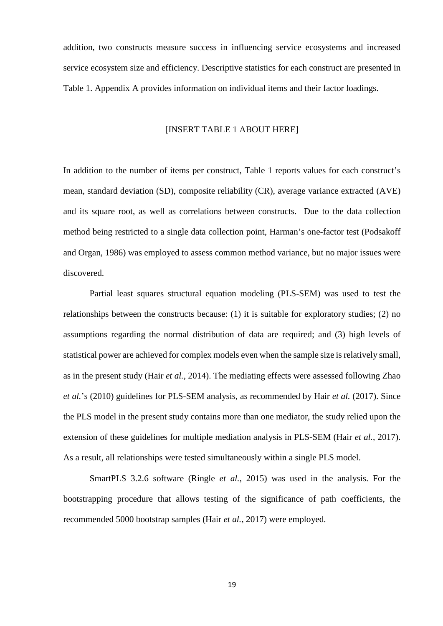addition, two constructs measure success in influencing service ecosystems and increased service ecosystem size and efficiency. Descriptive statistics for each construct are presented in Table 1. Appendix A provides information on individual items and their factor loadings.

#### [INSERT TABLE 1 ABOUT HERE]

In addition to the number of items per construct, Table 1 reports values for each construct's mean, standard deviation (SD), composite reliability (CR), average variance extracted (AVE) and its square root, as well as correlations between constructs. Due to the data collection method being restricted to a single data collection point, Harman's one-factor test (Podsakoff and Organ, 1986) was employed to assess common method variance, but no major issues were discovered.

Partial least squares structural equation modeling (PLS-SEM) was used to test the relationships between the constructs because: (1) it is suitable for exploratory studies; (2) no assumptions regarding the normal distribution of data are required; and (3) high levels of statistical power are achieved for complex models even when the sample size is relatively small, as in the present study (Hair *et al.*, 2014). The mediating effects were assessed following Zhao *et al.*'s (2010) guidelines for PLS-SEM analysis, as recommended by Hair *et al.* (2017). Since the PLS model in the present study contains more than one mediator, the study relied upon the extension of these guidelines for multiple mediation analysis in PLS-SEM (Hair *et al.*, 2017). As a result, all relationships were tested simultaneously within a single PLS model.

SmartPLS 3.2.6 software (Ringle *et al.*, 2015) was used in the analysis. For the bootstrapping procedure that allows testing of the significance of path coefficients, the recommended 5000 bootstrap samples (Hair *et al.*, 2017) were employed.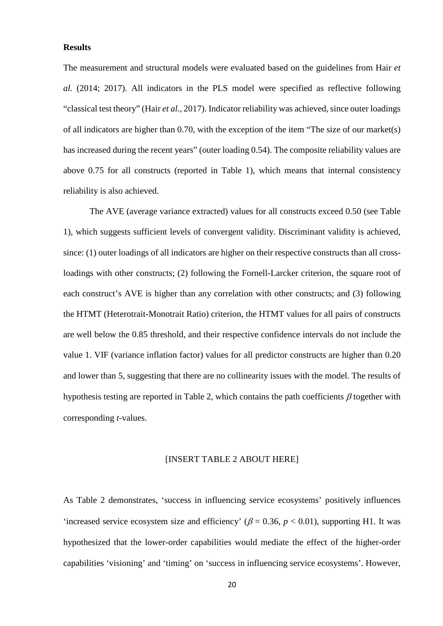## **Results**

The measurement and structural models were evaluated based on the guidelines from Hair *et al.* (2014; 2017). All indicators in the PLS model were specified as reflective following "classical test theory" (Hair *et al.*, 2017). Indicator reliability was achieved, since outer loadings of all indicators are higher than 0.70, with the exception of the item "The size of our market(s) has increased during the recent years" (outer loading 0.54). The composite reliability values are above 0.75 for all constructs (reported in Table 1), which means that internal consistency reliability is also achieved.

The AVE (average variance extracted) values for all constructs exceed 0.50 (see Table 1), which suggests sufficient levels of convergent validity. Discriminant validity is achieved, since: (1) outer loadings of all indicators are higher on their respective constructs than all crossloadings with other constructs; (2) following the Fornell-Larcker criterion, the square root of each construct's AVE is higher than any correlation with other constructs; and (3) following the HTMT (Heterotrait-Monotrait Ratio) criterion, the HTMT values for all pairs of constructs are well below the 0.85 threshold, and their respective confidence intervals do not include the value 1. VIF (variance inflation factor) values for all predictor constructs are higher than 0.20 and lower than 5, suggesting that there are no collinearity issues with the model. The results of hypothesis testing are reported in Table 2, which contains the path coefficients  $\beta$  together with corresponding *t*-values.

## [INSERT TABLE 2 ABOUT HERE]

As Table 2 demonstrates, 'success in influencing service ecosystems' positively influences 'increased service ecosystem size and efficiency' ( $\beta$  = 0.36,  $p$  < 0.01), supporting H1. It was hypothesized that the lower-order capabilities would mediate the effect of the higher-order capabilities 'visioning' and 'timing' on 'success in influencing service ecosystems'. However,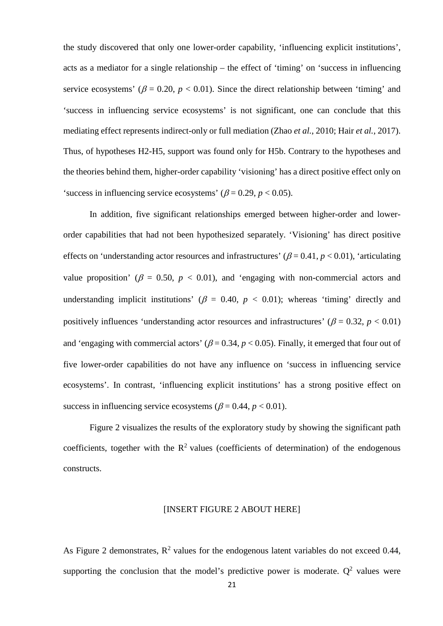the study discovered that only one lower-order capability, 'influencing explicit institutions', acts as a mediator for a single relationship – the effect of 'timing' on 'success in influencing service ecosystems' ( $\beta$  = 0.20,  $p < 0.01$ ). Since the direct relationship between 'timing' and 'success in influencing service ecosystems' is not significant, one can conclude that this mediating effect represents indirect-only or full mediation (Zhao *et al.*, 2010; Hair *et al.*, 2017). Thus, of hypotheses H2-H5, support was found only for H5b. Contrary to the hypotheses and the theories behind them, higher-order capability 'visioning' has a direct positive effect only on 'success in influencing service ecosystems' ( $\beta$  = 0.29, *p* < 0.05).

In addition, five significant relationships emerged between higher-order and lowerorder capabilities that had not been hypothesized separately. 'Visioning' has direct positive effects on 'understanding actor resources and infrastructures' ( $\beta$  = 0.41,  $p$  < 0.01), 'articulating value proposition' ( $\beta = 0.50$ ,  $p < 0.01$ ), and 'engaging with non-commercial actors and understanding implicit institutions' ( $\beta$  = 0.40,  $p$  < 0.01); whereas 'timing' directly and positively influences 'understanding actor resources and infrastructures' ( $\beta = 0.32$ ,  $p < 0.01$ ) and 'engaging with commercial actors' ( $\beta$  = 0.34,  $p$  < 0.05). Finally, it emerged that four out of five lower-order capabilities do not have any influence on 'success in influencing service ecosystems'. In contrast, 'influencing explicit institutions' has a strong positive effect on success in influencing service ecosystems ( $\beta$  = 0.44,  $p$  < 0.01).

Figure 2 visualizes the results of the exploratory study by showing the significant path coefficients, together with the  $R^2$  values (coefficients of determination) of the endogenous constructs.

#### [INSERT FIGURE 2 ABOUT HERE]

As Figure 2 demonstrates,  $R^2$  values for the endogenous latent variables do not exceed 0.44, supporting the conclusion that the model's predictive power is moderate.  $Q^2$  values were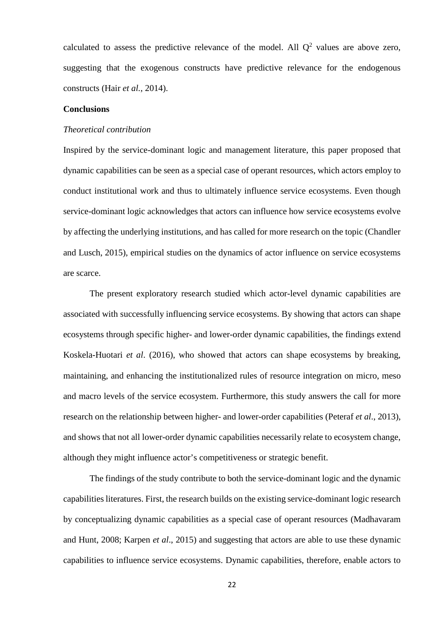calculated to assess the predictive relevance of the model. All  $Q^2$  values are above zero, suggesting that the exogenous constructs have predictive relevance for the endogenous constructs (Hair *et al.*, 2014).

#### **Conclusions**

#### *Theoretical contribution*

Inspired by the service-dominant logic and management literature, this paper proposed that dynamic capabilities can be seen as a special case of operant resources, which actors employ to conduct institutional work and thus to ultimately influence service ecosystems. Even though service-dominant logic acknowledges that actors can influence how service ecosystems evolve by affecting the underlying institutions, and has called for more research on the topic (Chandler and Lusch, 2015), empirical studies on the dynamics of actor influence on service ecosystems are scarce.

The present exploratory research studied which actor-level dynamic capabilities are associated with successfully influencing service ecosystems. By showing that actors can shape ecosystems through specific higher- and lower-order dynamic capabilities, the findings extend Koskela-Huotari *et al*. (2016), who showed that actors can shape ecosystems by breaking, maintaining, and enhancing the institutionalized rules of resource integration on micro, meso and macro levels of the service ecosystem. Furthermore, this study answers the call for more research on the relationship between higher- and lower-order capabilities (Peteraf *et al*., 2013), and shows that not all lower-order dynamic capabilities necessarily relate to ecosystem change, although they might influence actor's competitiveness or strategic benefit.

The findings of the study contribute to both the service-dominant logic and the dynamic capabilities literatures. First, the research builds on the existing service-dominant logic research by conceptualizing dynamic capabilities as a special case of operant resources (Madhavaram and Hunt, 2008; Karpen *et al*., 2015) and suggesting that actors are able to use these dynamic capabilities to influence service ecosystems. Dynamic capabilities, therefore, enable actors to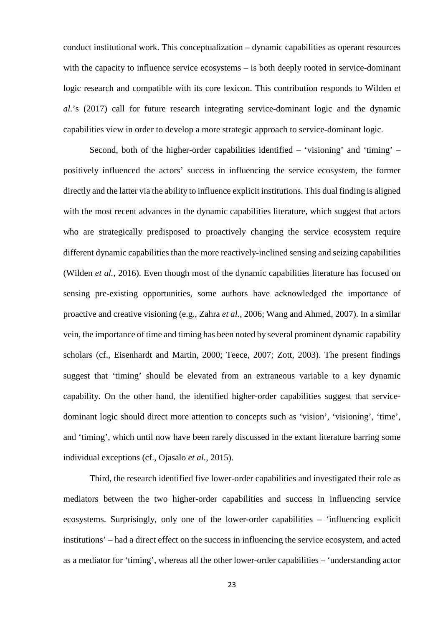conduct institutional work. This conceptualization – dynamic capabilities as operant resources with the capacity to influence service ecosystems – is both deeply rooted in service-dominant logic research and compatible with its core lexicon. This contribution responds to Wilden *et al.*'s (2017) call for future research integrating service-dominant logic and the dynamic capabilities view in order to develop a more strategic approach to service-dominant logic.

Second, both of the higher-order capabilities identified – 'visioning' and 'timing' – positively influenced the actors' success in influencing the service ecosystem, the former directly and the latter via the ability to influence explicit institutions. This dual finding is aligned with the most recent advances in the dynamic capabilities literature, which suggest that actors who are strategically predisposed to proactively changing the service ecosystem require different dynamic capabilities than the more reactively-inclined sensing and seizing capabilities (Wilden *et al.*, 2016). Even though most of the dynamic capabilities literature has focused on sensing pre-existing opportunities, some authors have acknowledged the importance of proactive and creative visioning (e.g., Zahra *et al.*, 2006; Wang and Ahmed, 2007). In a similar vein, the importance of time and timing has been noted by several prominent dynamic capability scholars (cf., Eisenhardt and Martin, 2000; Teece, 2007; Zott, 2003). The present findings suggest that 'timing' should be elevated from an extraneous variable to a key dynamic capability. On the other hand, the identified higher-order capabilities suggest that servicedominant logic should direct more attention to concepts such as 'vision', 'visioning', 'time', and 'timing', which until now have been rarely discussed in the extant literature barring some individual exceptions (cf., Ojasalo *et al.*, 2015).

Third, the research identified five lower-order capabilities and investigated their role as mediators between the two higher-order capabilities and success in influencing service ecosystems. Surprisingly, only one of the lower-order capabilities – 'influencing explicit institutions' – had a direct effect on the success in influencing the service ecosystem, and acted as a mediator for 'timing', whereas all the other lower-order capabilities – 'understanding actor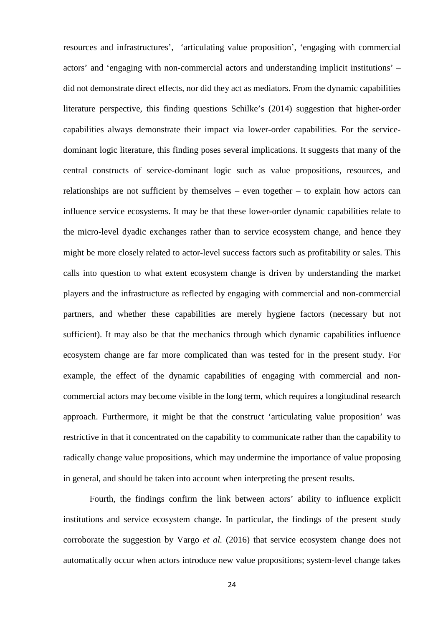resources and infrastructures', 'articulating value proposition', 'engaging with commercial actors' and 'engaging with non-commercial actors and understanding implicit institutions' – did not demonstrate direct effects, nor did they act as mediators. From the dynamic capabilities literature perspective, this finding questions Schilke's (2014) suggestion that higher-order capabilities always demonstrate their impact via lower-order capabilities. For the servicedominant logic literature, this finding poses several implications. It suggests that many of the central constructs of service-dominant logic such as value propositions, resources, and relationships are not sufficient by themselves – even together – to explain how actors can influence service ecosystems. It may be that these lower-order dynamic capabilities relate to the micro-level dyadic exchanges rather than to service ecosystem change, and hence they might be more closely related to actor-level success factors such as profitability or sales. This calls into question to what extent ecosystem change is driven by understanding the market players and the infrastructure as reflected by engaging with commercial and non-commercial partners, and whether these capabilities are merely hygiene factors (necessary but not sufficient). It may also be that the mechanics through which dynamic capabilities influence ecosystem change are far more complicated than was tested for in the present study. For example, the effect of the dynamic capabilities of engaging with commercial and noncommercial actors may become visible in the long term, which requires a longitudinal research approach. Furthermore, it might be that the construct 'articulating value proposition' was restrictive in that it concentrated on the capability to communicate rather than the capability to radically change value propositions, which may undermine the importance of value proposing in general, and should be taken into account when interpreting the present results.

Fourth, the findings confirm the link between actors' ability to influence explicit institutions and service ecosystem change. In particular, the findings of the present study corroborate the suggestion by Vargo *et al.* (2016) that service ecosystem change does not automatically occur when actors introduce new value propositions; system-level change takes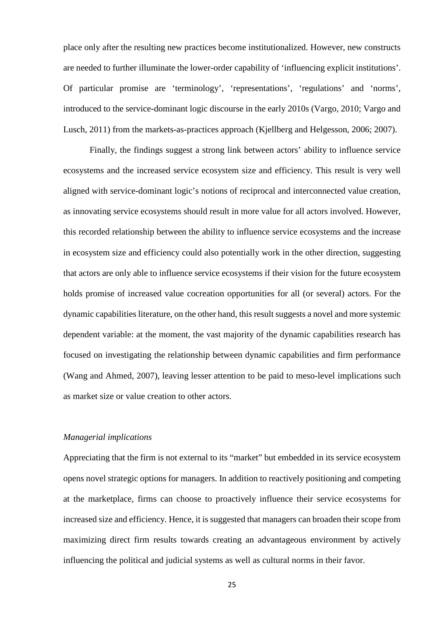place only after the resulting new practices become institutionalized. However, new constructs are needed to further illuminate the lower-order capability of 'influencing explicit institutions'. Of particular promise are 'terminology', 'representations', 'regulations' and 'norms', introduced to the service-dominant logic discourse in the early 2010s (Vargo, 2010; Vargo and Lusch, 2011) from the markets-as-practices approach (Kjellberg and Helgesson, 2006; 2007).

Finally, the findings suggest a strong link between actors' ability to influence service ecosystems and the increased service ecosystem size and efficiency. This result is very well aligned with service-dominant logic's notions of reciprocal and interconnected value creation, as innovating service ecosystems should result in more value for all actors involved. However, this recorded relationship between the ability to influence service ecosystems and the increase in ecosystem size and efficiency could also potentially work in the other direction, suggesting that actors are only able to influence service ecosystems if their vision for the future ecosystem holds promise of increased value cocreation opportunities for all (or several) actors. For the dynamic capabilities literature, on the other hand, this result suggests a novel and more systemic dependent variable: at the moment, the vast majority of the dynamic capabilities research has focused on investigating the relationship between dynamic capabilities and firm performance (Wang and Ahmed, 2007), leaving lesser attention to be paid to meso-level implications such as market size or value creation to other actors.

## *Managerial implications*

Appreciating that the firm is not external to its "market" but embedded in its service ecosystem opens novel strategic options for managers. In addition to reactively positioning and competing at the marketplace, firms can choose to proactively influence their service ecosystems for increased size and efficiency. Hence, it is suggested that managers can broaden their scope from maximizing direct firm results towards creating an advantageous environment by actively influencing the political and judicial systems as well as cultural norms in their favor.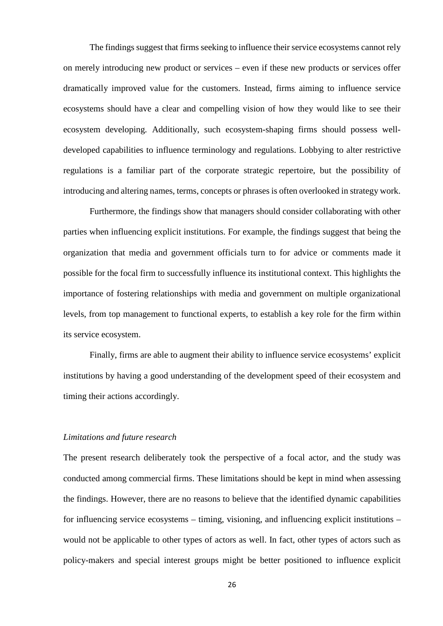The findings suggest that firms seeking to influence their service ecosystems cannot rely on merely introducing new product or services – even if these new products or services offer dramatically improved value for the customers. Instead, firms aiming to influence service ecosystems should have a clear and compelling vision of how they would like to see their ecosystem developing. Additionally, such ecosystem-shaping firms should possess welldeveloped capabilities to influence terminology and regulations. Lobbying to alter restrictive regulations is a familiar part of the corporate strategic repertoire, but the possibility of introducing and altering names, terms, concepts or phrases is often overlooked in strategy work.

Furthermore, the findings show that managers should consider collaborating with other parties when influencing explicit institutions. For example, the findings suggest that being the organization that media and government officials turn to for advice or comments made it possible for the focal firm to successfully influence its institutional context. This highlights the importance of fostering relationships with media and government on multiple organizational levels, from top management to functional experts, to establish a key role for the firm within its service ecosystem.

Finally, firms are able to augment their ability to influence service ecosystems' explicit institutions by having a good understanding of the development speed of their ecosystem and timing their actions accordingly.

#### *Limitations and future research*

The present research deliberately took the perspective of a focal actor, and the study was conducted among commercial firms. These limitations should be kept in mind when assessing the findings. However, there are no reasons to believe that the identified dynamic capabilities for influencing service ecosystems – timing, visioning, and influencing explicit institutions – would not be applicable to other types of actors as well. In fact, other types of actors such as policy-makers and special interest groups might be better positioned to influence explicit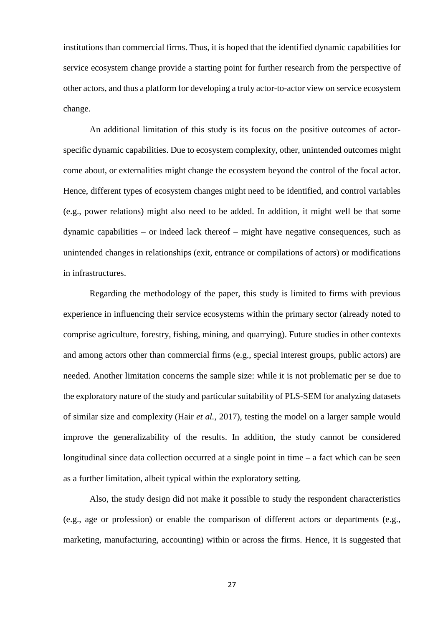institutions than commercial firms. Thus, it is hoped that the identified dynamic capabilities for service ecosystem change provide a starting point for further research from the perspective of other actors, and thus a platform for developing a truly actor-to-actor view on service ecosystem change.

An additional limitation of this study is its focus on the positive outcomes of actorspecific dynamic capabilities. Due to ecosystem complexity, other, unintended outcomes might come about, or externalities might change the ecosystem beyond the control of the focal actor. Hence, different types of ecosystem changes might need to be identified, and control variables (e.g., power relations) might also need to be added. In addition, it might well be that some dynamic capabilities – or indeed lack thereof – might have negative consequences, such as unintended changes in relationships (exit, entrance or compilations of actors) or modifications in infrastructures.

Regarding the methodology of the paper, this study is limited to firms with previous experience in influencing their service ecosystems within the primary sector (already noted to comprise agriculture, forestry, fishing, mining, and quarrying). Future studies in other contexts and among actors other than commercial firms (e.g., special interest groups, public actors) are needed. Another limitation concerns the sample size: while it is not problematic per se due to the exploratory nature of the study and particular suitability of PLS-SEM for analyzing datasets of similar size and complexity (Hair *et al.,* 2017), testing the model on a larger sample would improve the generalizability of the results. In addition, the study cannot be considered longitudinal since data collection occurred at a single point in time – a fact which can be seen as a further limitation, albeit typical within the exploratory setting.

Also, the study design did not make it possible to study the respondent characteristics (e.g., age or profession) or enable the comparison of different actors or departments (e.g., marketing, manufacturing, accounting) within or across the firms. Hence, it is suggested that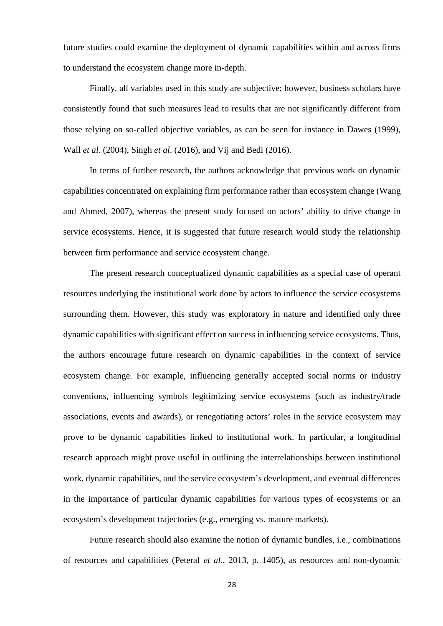future studies could examine the deployment of dynamic capabilities within and across firms to understand the ecosystem change more in-depth.

Finally, all variables used in this study are subjective; however, business scholars have consistently found that such measures lead to results that are not significantly different from those relying on so-called objective variables, as can be seen for instance in Dawes (1999), Wall *et al*. (2004), Singh *et al*. (2016), and Vij and Bedi (2016).

In terms of further research, the authors acknowledge that previous work on dynamic capabilities concentrated on explaining firm performance rather than ecosystem change (Wang and Ahmed, 2007), whereas the present study focused on actors' ability to drive change in service ecosystems. Hence, it is suggested that future research would study the relationship between firm performance and service ecosystem change.

The present research conceptualized dynamic capabilities as a special case of operant resources underlying the institutional work done by actors to influence the service ecosystems surrounding them. However, this study was exploratory in nature and identified only three dynamic capabilities with significant effect on success in influencing service ecosystems. Thus, the authors encourage future research on dynamic capabilities in the context of service ecosystem change. For example, influencing generally accepted social norms or industry conventions, influencing symbols legitimizing service ecosystems (such as industry/trade associations, events and awards), or renegotiating actors' roles in the service ecosystem may prove to be dynamic capabilities linked to institutional work. In particular, a longitudinal research approach might prove useful in outlining the interrelationships between institutional work, dynamic capabilities, and the service ecosystem's development, and eventual differences in the importance of particular dynamic capabilities for various types of ecosystems or an ecosystem's development trajectories (e.g., emerging vs. mature markets).

Future research should also examine the notion of dynamic bundles, i.e., combinations of resources and capabilities (Peteraf *et al.*, 2013, p. 1405), as resources and non-dynamic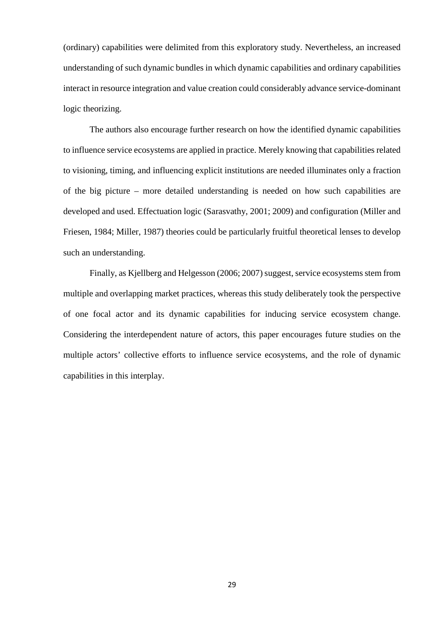(ordinary) capabilities were delimited from this exploratory study. Nevertheless, an increased understanding of such dynamic bundles in which dynamic capabilities and ordinary capabilities interact in resource integration and value creation could considerably advance service-dominant logic theorizing.

The authors also encourage further research on how the identified dynamic capabilities to influence service ecosystems are applied in practice. Merely knowing that capabilities related to visioning, timing, and influencing explicit institutions are needed illuminates only a fraction of the big picture – more detailed understanding is needed on how such capabilities are developed and used. Effectuation logic (Sarasvathy, 2001; 2009) and configuration (Miller and Friesen, 1984; Miller, 1987) theories could be particularly fruitful theoretical lenses to develop such an understanding.

Finally, as Kjellberg and Helgesson (2006; 2007) suggest, service ecosystems stem from multiple and overlapping market practices, whereas this study deliberately took the perspective of one focal actor and its dynamic capabilities for inducing service ecosystem change. Considering the interdependent nature of actors, this paper encourages future studies on the multiple actors' collective efforts to influence service ecosystems, and the role of dynamic capabilities in this interplay.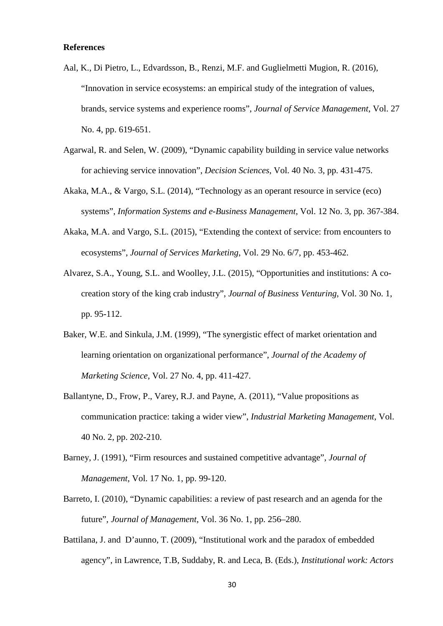## **References**

- Aal, K., Di Pietro, L., Edvardsson, B., Renzi, M.F. and Guglielmetti Mugion, R. (2016), "Innovation in service ecosystems: an empirical study of the integration of values, brands, service systems and experience rooms", *Journal of Service Management*, Vol. 27 No. 4, pp. 619-651.
- Agarwal, R. and Selen, W. (2009), "Dynamic capability building in service value networks for achieving service innovation", *Decision Sciences*, Vol. 40 No. 3, pp. 431-475.
- Akaka, M.A., & Vargo, S.L. (2014), "Technology as an operant resource in service (eco) systems", *Information Systems and e-Business Management*, Vol. 12 No. 3, pp. 367-384.
- Akaka, M.A. and Vargo, S.L. (2015), "Extending the context of service: from encounters to ecosystems", *Journal of Services Marketing*, Vol. 29 No. 6/7, pp. 453-462.
- Alvarez, S.A., Young, S.L. and Woolley, J.L. (2015), "Opportunities and institutions: A cocreation story of the king crab industry", *Journal of Business Venturing*, Vol. 30 No. 1, pp. 95-112.
- Baker, W.E. and Sinkula, J.M. (1999), "The synergistic effect of market orientation and learning orientation on organizational performance", *Journal of the Academy of Marketing Science*, Vol. 27 No. 4, pp. 411-427.
- Ballantyne, D., Frow, P., Varey, R.J. and Payne, A. (2011), "Value propositions as communication practice: taking a wider view", *Industrial Marketing Management*, Vol. 40 No. 2, pp. 202-210.
- Barney, J. (1991), "Firm resources and sustained competitive advantage", *Journal of Management*, Vol. 17 No. 1, pp. 99-120.
- Barreto, I. (2010), "Dynamic capabilities: a review of past research and an agenda for the future", *Journal of Management*, Vol. 36 No. 1, pp. 256–280.
- Battilana, J. and D'aunno, T. (2009), "Institutional work and the paradox of embedded agency", in Lawrence, T.B, Suddaby, R. and Leca, B. (Eds.), *Institutional work: Actors*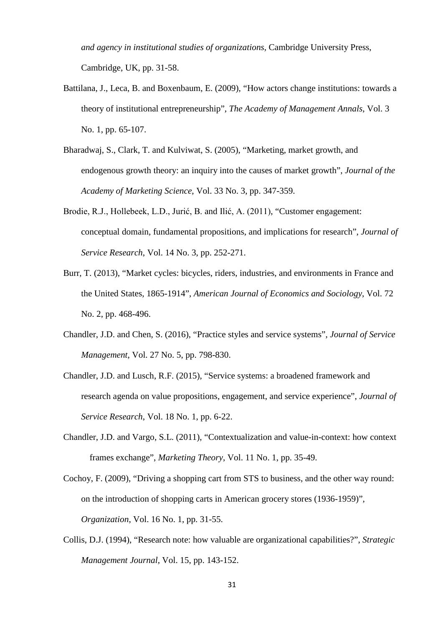*and agency in institutional studies of organizations*, Cambridge University Press, Cambridge, UK, pp. 31-58.

- Battilana, J., Leca, B. and Boxenbaum, E. (2009), "How actors change institutions: towards a theory of institutional entrepreneurship", *The Academy of Management Annals*, Vol. 3 No. 1, pp. 65-107.
- Bharadwaj, S., Clark, T. and Kulviwat, S. (2005), "Marketing, market growth, and endogenous growth theory: an inquiry into the causes of market growth", *Journal of the Academy of Marketing Science*, Vol. 33 No. 3, pp. 347-359.
- Brodie, R.J., Hollebeek, L.D., Jurić, B. and Ilić, A. (2011), "Customer engagement: conceptual domain, fundamental propositions, and implications for research", *Journal of Service Research*, Vol. 14 No. 3, pp. 252-271.
- Burr, T. (2013), "Market cycles: bicycles, riders, industries, and environments in France and the United States, 1865-1914", *American Journal of Economics and Sociology*, Vol. 72 No. 2, pp. 468-496.
- Chandler, J.D. and Chen, S. (2016), "Practice styles and service systems", *Journal of Service Management*, Vol. 27 No. 5, pp. 798-830.
- Chandler, J.D. and Lusch, R.F. (2015), "Service systems: a broadened framework and research agenda on value propositions, engagement, and service experience", *Journal of Service Research*, Vol. 18 No. 1, pp. 6-22.
- Chandler, J.D. and Vargo, S.L. (2011), "Contextualization and value-in-context: how context frames exchange", *Marketing Theory*, Vol. 11 No. 1, pp. 35-49.
- Cochoy, F. (2009), "Driving a shopping cart from STS to business, and the other way round: on the introduction of shopping carts in American grocery stores (1936-1959)", *Organization*, Vol. 16 No. 1, pp. 31-55.
- Collis, D.J. (1994), "Research note: how valuable are organizational capabilities?", *Strategic Management Journal*, Vol. 15, pp. 143-152.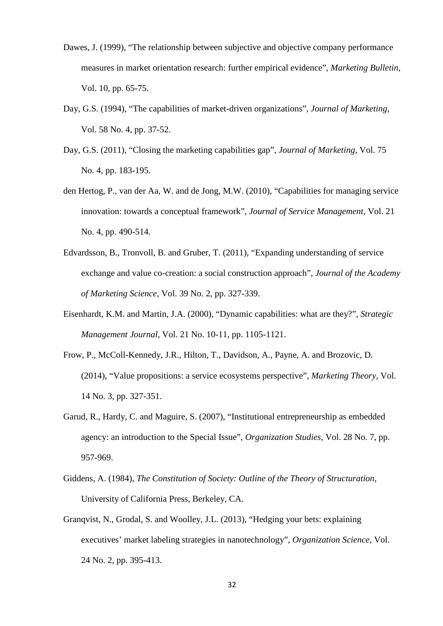- Dawes, J. (1999), "The relationship between subjective and objective company performance measures in market orientation research: further empirical evidence", *Marketing Bulletin*, Vol. 10, pp. 65-75.
- Day, G.S. (1994), "The capabilities of market-driven organizations", *Journal of Marketing*, Vol. 58 No. 4, pp. 37-52.
- Day, G.S. (2011), "Closing the marketing capabilities gap", *Journal of Marketing*, Vol. 75 No. 4, pp. 183-195.
- den Hertog, P., van der Aa, W. and de Jong, M.W. (2010), "Capabilities for managing service innovation: towards a conceptual framework", *Journal of Service Management*, Vol. 21 No. 4, pp. 490-514.
- Edvardsson, B., Tronvoll, B. and Gruber, T. (2011), "Expanding understanding of service exchange and value co-creation: a social construction approach", *Journal of the Academy of Marketing Science*, Vol. 39 No. 2, pp. 327-339.
- Eisenhardt, K.M. and Martin, J.A. (2000), "Dynamic capabilities: what are they?", *Strategic Management Journal*, Vol. 21 No. 10-11, pp. 1105-1121.
- Frow, P., McColl-Kennedy, J.R., Hilton, T., Davidson, A., Payne, A. and Brozovic, D. (2014), "Value propositions: a service ecosystems perspective", *Marketing Theory*, Vol. 14 No. 3, pp. 327-351.
- Garud, R., Hardy, C. and Maguire, S. (2007), "Institutional entrepreneurship as embedded agency: an introduction to the Special Issue", *Organization Studies*, Vol. 28 No. 7, pp. 957-969.
- Giddens, A. (1984), *The Constitution of Society: Outline of the Theory of Structuration,* University of California Press, Berkeley, CA.
- Granqvist, N., Grodal, S. and Woolley, J.L. (2013), "Hedging your bets: explaining executives' market labeling strategies in nanotechnology", *Organization Science*, Vol. 24 No. 2, pp. 395-413.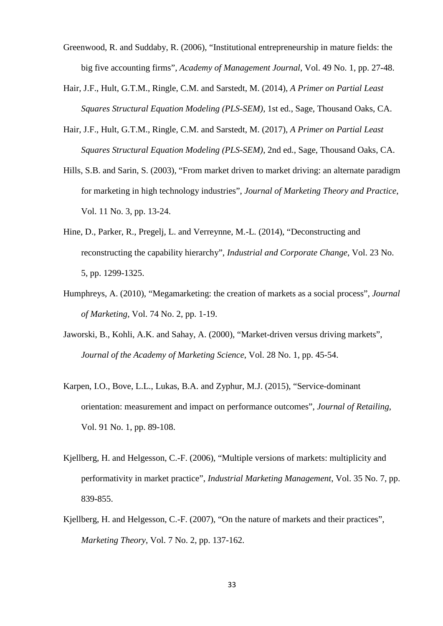- Greenwood, R. and Suddaby, R. (2006), "Institutional entrepreneurship in mature fields: the big five accounting firms", *Academy of Management Journal*, Vol. 49 No. 1, pp. 27-48.
- Hair, J.F., Hult, G.T.M., Ringle, C.M. and Sarstedt, M. (2014), *A Primer on Partial Least Squares Structural Equation Modeling (PLS-SEM)*, 1st ed., Sage, Thousand Oaks, CA.
- Hair, J.F., Hult, G.T.M., Ringle, C.M. and Sarstedt, M. (2017), *A Primer on Partial Least Squares Structural Equation Modeling (PLS-SEM)*, 2nd ed., Sage, Thousand Oaks, CA.
- Hills, S.B. and Sarin, S. (2003), "From market driven to market driving: an alternate paradigm for marketing in high technology industries", *Journal of Marketing Theory and Practice*, Vol. 11 No. 3, pp. 13-24.
- Hine, D., Parker, R., Pregelj, L. and Verreynne, M.-L. (2014), "Deconstructing and reconstructing the capability hierarchy", *Industrial and Corporate Change*, Vol. 23 No. 5, pp. 1299-1325.
- Humphreys, A. (2010), "Megamarketing: the creation of markets as a social process", *Journal of Marketing*, Vol. 74 No. 2, pp. 1-19.
- Jaworski, B., Kohli, A.K. and Sahay, A. (2000), "Market-driven versus driving markets", *Journal of the Academy of Marketing Science*, Vol. 28 No. 1, pp. 45-54.
- Karpen, I.O., Bove, L.L., Lukas, B.A. and Zyphur, M.J. (2015), "Service-dominant orientation: measurement and impact on performance outcomes", *Journal of Retailing*, Vol. 91 No. 1, pp. 89-108.
- Kjellberg, H. and Helgesson, C.-F. (2006), "Multiple versions of markets: multiplicity and performativity in market practice", *Industrial Marketing Management*, Vol. 35 No. 7, pp. 839-855.
- Kjellberg, H. and Helgesson, C.-F. (2007), "On the nature of markets and their practices", *Marketing Theory*, Vol. 7 No. 2, pp. 137-162.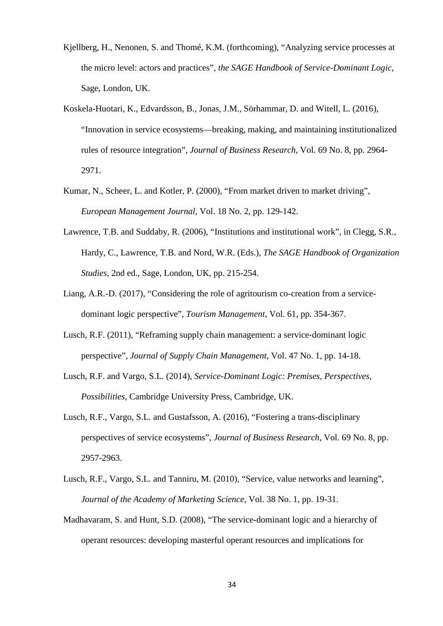- Kjellberg, H., Nenonen, S. and Thomé, K.M. (forthcoming), "Analyzing service processes at the micro level: actors and practices", *the SAGE Handbook of Service-Dominant Logic*, Sage, London, UK.
- Koskela-Huotari, K., Edvardsson, B., Jonas, J.M., Sörhammar, D. and Witell, L. (2016), "Innovation in service ecosystems—breaking, making, and maintaining institutionalized rules of resource integration", *Journal of Business Research*, Vol. 69 No. 8, pp. 2964- 2971.
- Kumar, N., Scheer, L. and Kotler, P. (2000), "From market driven to market driving", *European Management Journal*, Vol. 18 No. 2, pp. 129-142.
- Lawrence, T.B. and Suddaby, R. (2006), "Institutions and institutional work", in Clegg, S.R., Hardy, C., Lawrence, T.B. and Nord, W.R. (Eds.), *The SAGE Handbook of Organization Studies*, 2nd ed., Sage, London, UK, pp. 215-254.
- Liang, A.R.-D. (2017), "Considering the role of agritourism co-creation from a servicedominant logic perspective", *Tourism Management*, Vol. 61, pp. 354-367.
- Lusch, R.F. (2011), "Reframing supply chain management: a service‐dominant logic perspective", *Journal of Supply Chain Management*, Vol. 47 No. 1, pp. 14-18.
- Lusch, R.F. and Vargo, S.L. (2014), *Service-Dominant Logic: Premises, Perspectives, Possibilities*, Cambridge University Press, Cambridge, UK.
- Lusch, R.F., Vargo, S.L. and Gustafsson, A. (2016), "Fostering a trans-disciplinary perspectives of service ecosystems", *Journal of Business Research*, Vol. 69 No. 8, pp. 2957-2963.
- Lusch, R.F., Vargo, S.L. and Tanniru, M. (2010), "Service, value networks and learning", *Journal of the Academy of Marketing Science*, Vol. 38 No. 1, pp. 19-31.
- Madhavaram, S. and Hunt, S.D. (2008), "The service-dominant logic and a hierarchy of operant resources: developing masterful operant resources and implications for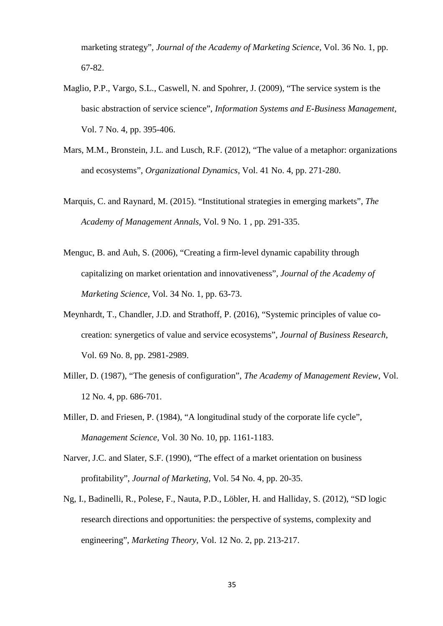marketing strategy", *Journal of the Academy of Marketing Science*, Vol. 36 No. 1, pp. 67-82.

- Maglio, P.P., Vargo, S.L., Caswell, N. and Spohrer, J. (2009), "The service system is the basic abstraction of service science", *Information Systems and E-Business Management*, Vol. 7 No. 4, pp. 395-406.
- Mars, M.M., Bronstein, J.L. and Lusch, R.F. (2012), "The value of a metaphor: organizations and ecosystems", *Organizational Dynamics*, Vol. 41 No. 4, pp. 271-280.
- Marquis, C. and Raynard, M. (2015). "Institutional strategies in emerging markets", *The Academy of Management Annals*, Vol. 9 No. 1 , pp. 291-335.
- Menguc, B. and Auh, S. (2006), "Creating a firm-level dynamic capability through capitalizing on market orientation and innovativeness", *Journal of the Academy of Marketing Science*, Vol. 34 No. 1, pp. 63-73.
- Meynhardt, T., Chandler, J.D. and Strathoff, P. (2016), "Systemic principles of value cocreation: synergetics of value and service ecosystems", *Journal of Business Research*, Vol. 69 No. 8, pp. 2981-2989.
- Miller, D. (1987), "The genesis of configuration", *The Academy of Management Review*, Vol. 12 No. 4, pp. 686-701.
- Miller, D. and Friesen, P. (1984), "A longitudinal study of the corporate life cycle", *Management Science*, Vol. 30 No. 10, pp. 1161-1183.
- Narver, J.C. and Slater, S.F. (1990), "The effect of a market orientation on business profitability", *Journal of Marketing*, Vol. 54 No. 4, pp. 20-35.
- Ng, I., Badinelli, R., Polese, F., Nauta, P.D., Löbler, H. and Halliday, S. (2012), "SD logic research directions and opportunities: the perspective of systems, complexity and engineering", *Marketing Theory*, Vol. 12 No. 2, pp. 213-217.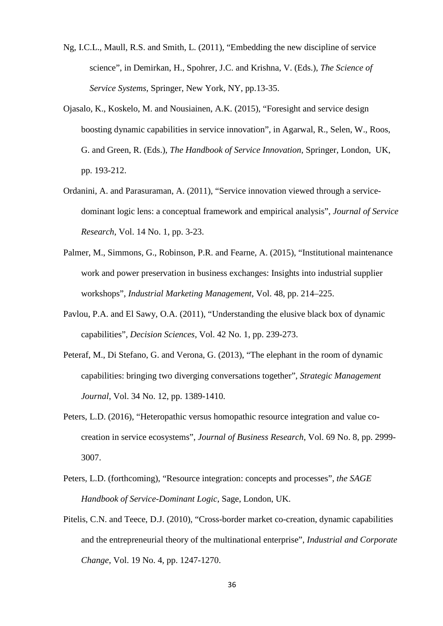- Ng, I.C.L., Maull, R.S. and Smith, L. (2011), "Embedding the new discipline of service science", in Demirkan, H., Spohrer, J.C. and Krishna, V. (Eds.), *The Science of Service Systems*, Springer, New York, NY, pp.13-35.
- Ojasalo, K., Koskelo, M. and Nousiainen, A.K. (2015), "Foresight and service design boosting dynamic capabilities in service innovation", in Agarwal, R., Selen, W., Roos, G. and Green, R. (Eds.), *The Handbook of Service Innovation*, Springer, London, UK, pp. 193-212.
- Ordanini, A. and Parasuraman, A. (2011), "Service innovation viewed through a servicedominant logic lens: a conceptual framework and empirical analysis", *Journal of Service Research*, Vol. 14 No. 1, pp. 3-23.
- Palmer, M., Simmons, G., Robinson, P.R. and Fearne, A. (2015), "Institutional maintenance work and power preservation in business exchanges: Insights into industrial supplier workshops", *Industrial Marketing Management*, Vol. 48, pp. 214–225.
- Pavlou, P.A. and El Sawy, O.A. (2011), "Understanding the elusive black box of dynamic capabilities", *Decision Sciences*, Vol. 42 No. 1, pp. 239-273.
- Peteraf, M., Di Stefano, G. and Verona, G. (2013), "The elephant in the room of dynamic capabilities: bringing two diverging conversations together", *Strategic Management Journal*, Vol. 34 No. 12, pp. 1389-1410.
- Peters, L.D. (2016), "Heteropathic versus homopathic resource integration and value cocreation in service ecosystems", *Journal of Business Research*, Vol. 69 No. 8, pp. 2999- 3007.
- Peters, L.D. (forthcoming), "Resource integration: concepts and processes", *the SAGE Handbook of Service-Dominant Logic*, Sage, London, UK.
- Pitelis, C.N. and Teece, D.J. (2010), "Cross-border market co-creation, dynamic capabilities and the entrepreneurial theory of the multinational enterprise", *Industrial and Corporate Change*, Vol. 19 No. 4, pp. 1247-1270.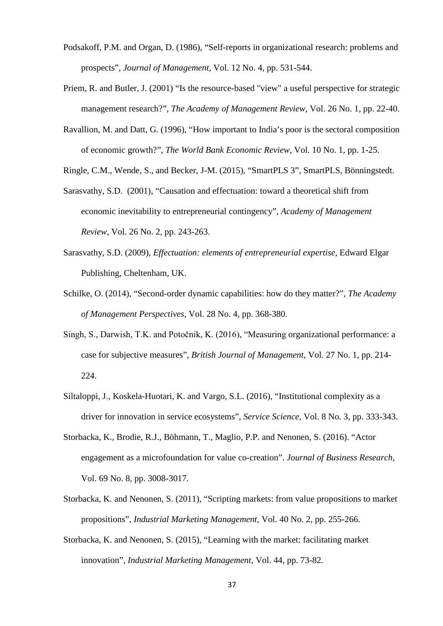- Podsakoff, P.M. and Organ, D. (1986), "Self-reports in organizational research: problems and prospects", *Journal of Management*, Vol. 12 No. 4, pp. 531-544.
- Priem, R. and Butler, J. (2001) "Is the resource-based "view" a useful perspective for strategic management research?", *The Academy of Management Review*, Vol. 26 No. 1, pp. 22-40.
- Ravallion, M. and Datt, G. (1996), "How important to India's poor is the sectoral composition of economic growth?", *The World Bank Economic Review*, Vol. 10 No. 1, pp. 1-25.

Ringle, C.M., Wende, S., and Becker, J-M. (2015), "SmartPLS 3", SmartPLS, Bönningstedt.

- Sarasvathy, S.D. (2001), "Causation and effectuation: toward a theoretical shift from economic inevitability to entrepreneurial contingency", *Academy of Management Review*, Vol. 26 No. 2, pp. 243-263.
- Sarasvathy, S.D. (2009), *Effectuation: elements of entrepreneurial expertise*, Edward Elgar Publishing, Cheltenham, UK.
- Schilke, O. (2014), "Second-order dynamic capabilities: how do they matter?", *The Academy of Management Perspectives*, Vol. 28 No. 4, pp. 368-380.
- Singh, S., Darwish, T.K. and Potočnik, K. (2016), "Measuring organizational performance: a case for subjective measures", *British Journal of Management*, Vol. 27 No. 1, pp. 214- 224.
- Siltaloppi, J., Koskela-Huotari, K. and Vargo, S.L. (2016), "Institutional complexity as a driver for innovation in service ecosystems", *Service Science*, Vol. 8 No. 3, pp. 333-343.
- Storbacka, K., Brodie, R.J., Böhmann, T., Maglio, P.P. and Nenonen, S. (2016). "Actor engagement as a microfoundation for value co-creation". *Journal of Business Research*, Vol. 69 No. 8, pp. 3008-3017.
- Storbacka, K. and Nenonen, S. (2011), "Scripting markets: from value propositions to market propositions", *Industrial Marketing Management*, Vol. 40 No. 2, pp. 255-266.
- Storbacka, K. and Nenonen, S. (2015), "Learning with the market: facilitating market innovation", *Industrial Marketing Management*, Vol. 44, pp. 73-82.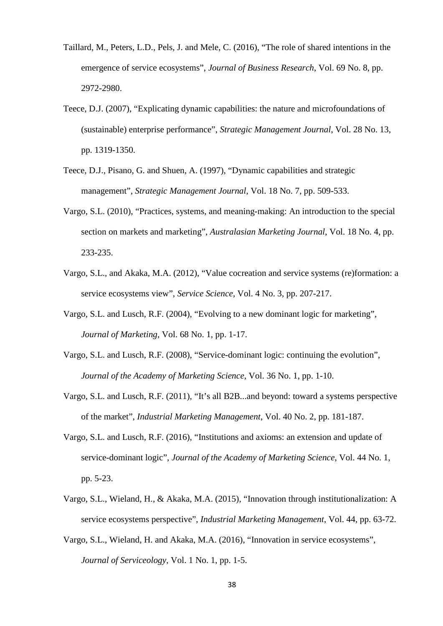- Taillard, M., Peters, L.D., Pels, J. and Mele, C. (2016), "The role of shared intentions in the emergence of service ecosystems", *Journal of Business Research*, Vol. 69 No. 8, pp. 2972-2980.
- Teece, D.J. (2007), "Explicating dynamic capabilities: the nature and microfoundations of (sustainable) enterprise performance", *Strategic Management Journal*, Vol. 28 No. 13, pp. 1319-1350.
- Teece, D.J., Pisano, G. and Shuen, A. (1997), "Dynamic capabilities and strategic management", *Strategic Management Journal*, Vol. 18 No. 7, pp. 509-533.
- Vargo, S.L. (2010), "Practices, systems, and meaning-making: An introduction to the special section on markets and marketing", *Australasian Marketing Journal*, Vol. 18 No. 4, pp. 233-235.
- Vargo, S.L., and Akaka, M.A. (2012), "Value cocreation and service systems (re)formation: a service ecosystems view", *Service Science*, Vol. 4 No. 3, pp. 207-217.
- Vargo, S.L. and Lusch, R.F. (2004), "Evolving to a new dominant logic for marketing", *Journal of Marketing*, Vol. 68 No. 1, pp. 1-17.
- Vargo, S.L. and Lusch, R.F. (2008), "Service-dominant logic: continuing the evolution", *Journal of the Academy of Marketing Science*, Vol. 36 No. 1, pp. 1-10.
- Vargo, S.L. and Lusch, R.F. (2011), "It's all B2B...and beyond: toward a systems perspective of the market", *Industrial Marketing Management*, Vol. 40 No. 2, pp. 181-187.
- Vargo, S.L. and Lusch, R.F. (2016), "Institutions and axioms: an extension and update of service-dominant logic", *Journal of the Academy of Marketing Science*, Vol. 44 No. 1, pp. 5-23.
- Vargo, S.L., Wieland, H., & Akaka, M.A. (2015), "Innovation through institutionalization: A service ecosystems perspective", *Industrial Marketing Management*, Vol. 44, pp. 63-72.
- Vargo, S.L., Wieland, H. and Akaka, M.A. (2016), "Innovation in service ecosystems", *Journal of Serviceology*, Vol. 1 No. 1, pp. 1-5.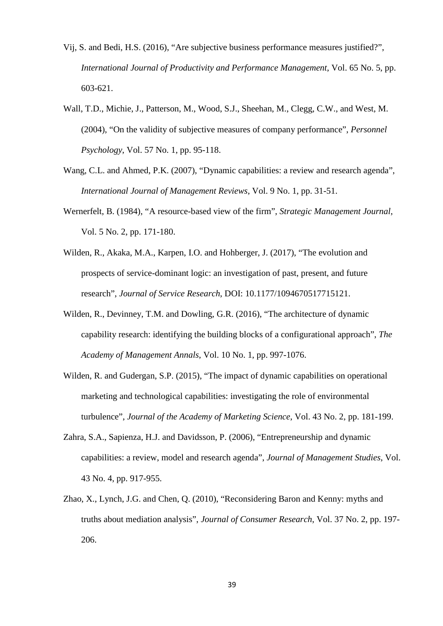- Vij, S. and Bedi, H.S. (2016), "Are subjective business performance measures justified?", *International Journal of Productivity and Performance Management*, Vol. 65 No. 5, pp. 603-621.
- Wall, T.D., Michie, J., Patterson, M., Wood, S.J., Sheehan, M., Clegg, C.W., and West, M. (2004), "On the validity of subjective measures of company performance", *Personnel Psychology*, Vol. 57 No. 1, pp. 95-118.
- Wang, C.L. and Ahmed, P.K. (2007), "Dynamic capabilities: a review and research agenda", *International Journal of Management Reviews*, Vol. 9 No. 1, pp. 31-51.
- Wernerfelt, B. (1984), "A resource-based view of the firm", *Strategic Management Journal*, Vol. 5 No. 2, pp. 171-180.
- Wilden, R., Akaka, M.A., Karpen, I.O. and Hohberger, J. (2017), "The evolution and prospects of service-dominant logic: an investigation of past, present, and future research", *Journal of Service Research*, DOI: 10.1177/1094670517715121.
- Wilden, R., Devinney, T.M. and Dowling, G.R. (2016), "The architecture of dynamic capability research: identifying the building blocks of a configurational approach", *The Academy of Management Annals*, Vol. 10 No. 1, pp. 997-1076.
- Wilden, R. and Gudergan, S.P. (2015), "The impact of dynamic capabilities on operational marketing and technological capabilities: investigating the role of environmental turbulence", *Journal of the Academy of Marketing Science*, Vol. 43 No. 2, pp. 181-199.
- Zahra, S.A., Sapienza, H.J. and Davidsson, P. (2006), "Entrepreneurship and dynamic capabilities: a review, model and research agenda", *Journal of Management Studies*, Vol. 43 No. 4, pp. 917-955.
- Zhao, X., Lynch, J.G. and Chen, Q. (2010), "Reconsidering Baron and Kenny: myths and truths about mediation analysis", *Journal of Consumer Research*, Vol. 37 No. 2, pp. 197- 206.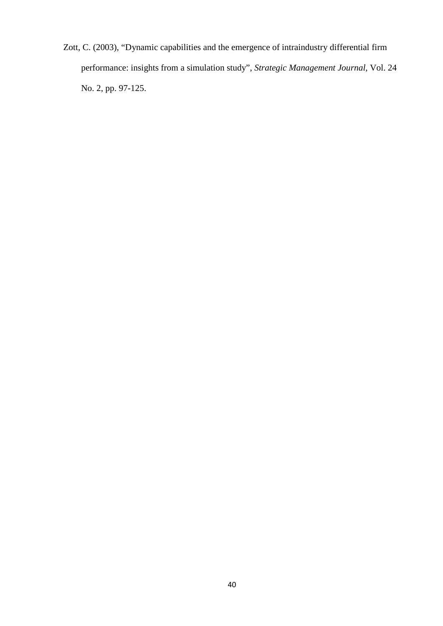Zott, C. (2003), "Dynamic capabilities and the emergence of intraindustry differential firm performance: insights from a simulation study", *Strategic Management Journal*, Vol. 24 No. 2, pp. 97-125.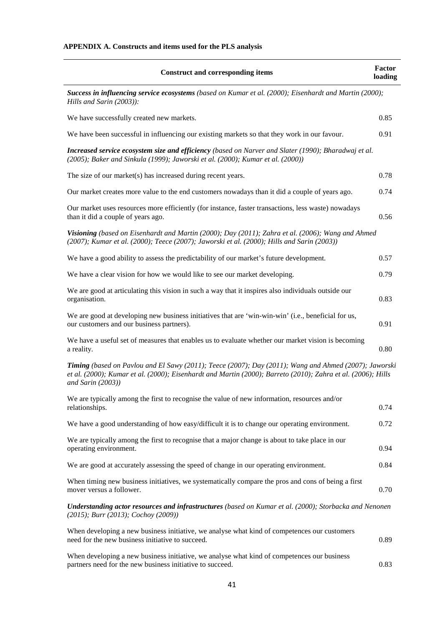| <b>Construct and corresponding items</b>                                                                                                                                                                                                   | Factor<br>loading |
|--------------------------------------------------------------------------------------------------------------------------------------------------------------------------------------------------------------------------------------------|-------------------|
| Success in influencing service ecosystems (based on Kumar et al. (2000); Eisenhardt and Martin (2000);<br>Hills and Sarin (2003)):                                                                                                         |                   |
| We have successfully created new markets.                                                                                                                                                                                                  | 0.85              |
| We have been successful in influencing our existing markets so that they work in our favour.                                                                                                                                               | 0.91              |
| Increased service ecosystem size and efficiency (based on Narver and Slater (1990); Bharadwaj et al.<br>(2005); Baker and Sinkula (1999); Jaworski et al. (2000); Kumar et al. (2000))                                                     |                   |
| The size of our market(s) has increased during recent years.                                                                                                                                                                               | 0.78              |
| Our market creates more value to the end customers nowadays than it did a couple of years ago.                                                                                                                                             | 0.74              |
| Our market uses resources more efficiently (for instance, faster transactions, less waste) nowadays<br>than it did a couple of years ago.                                                                                                  | 0.56              |
| Visioning (based on Eisenhardt and Martin (2000); Day (2011); Zahra et al. (2006); Wang and Ahmed<br>$(2007)$ ; Kumar et al. $(2000)$ ; Teece $(2007)$ ; Jaworski et al. $(2000)$ ; Hills and Sarin $(2003)$ )                             |                   |
| We have a good ability to assess the predictability of our market's future development.                                                                                                                                                    | 0.57              |
| We have a clear vision for how we would like to see our market developing.                                                                                                                                                                 | 0.79              |
| We are good at articulating this vision in such a way that it inspires also individuals outside our<br>organisation.                                                                                                                       | 0.83              |
| We are good at developing new business initiatives that are 'win-win-win' (i.e., beneficial for us,<br>our customers and our business partners).                                                                                           | 0.91              |
| We have a useful set of measures that enables us to evaluate whether our market vision is becoming<br>a reality.                                                                                                                           | 0.80              |
| Timing (based on Pavlou and El Sawy (2011); Teece (2007); Day (2011); Wang and Ahmed (2007); Jaworski<br>et al. (2000); Kumar et al. (2000); Eisenhardt and Martin (2000); Barreto (2010); Zahra et al. (2006); Hills<br>and Sarin (2003)) |                   |
| We are typically among the first to recognise the value of new information, resources and/or<br>relationships.                                                                                                                             | 0.74              |
| We have a good understanding of how easy/difficult it is to change our operating environment.                                                                                                                                              | 0.72              |
| We are typically among the first to recognise that a major change is about to take place in our<br>operating environment.                                                                                                                  | 0.94              |
| We are good at accurately assessing the speed of change in our operating environment.                                                                                                                                                      | 0.84              |
| When timing new business initiatives, we systematically compare the pros and cons of being a first<br>mover versus a follower.                                                                                                             | 0.70              |
| Understanding actor resources and infrastructures (based on Kumar et al. (2000); Storbacka and Nenonen<br>$(2015)$ ; Burr (2013); Cochoy (2009))                                                                                           |                   |
| When developing a new business initiative, we analyse what kind of competences our customers<br>need for the new business initiative to succeed.                                                                                           | 0.89              |
| When developing a new business initiative, we analyse what kind of competences our business<br>partners need for the new business initiative to succeed.                                                                                   | 0.83              |